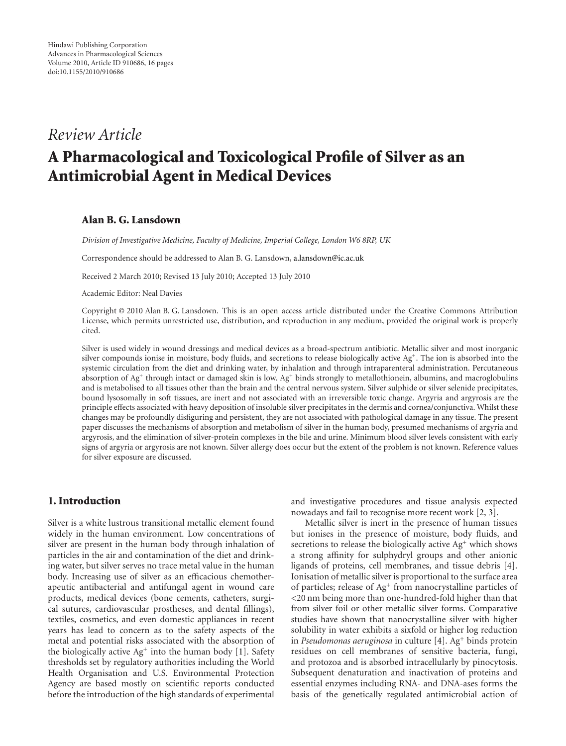## *Review Article*

# **A Pharmacological and Toxicological Profile of Silver as an Antimicrobial Agent in Medical Devices**

## **Alan B. G. Lansdown**

*Division of Investigative Medicine, Faculty of Medicine, Imperial College, London W6 8RP, UK*

Correspondence should be addressed to Alan B. G. Lansdown, a.lansdown@ic.ac.uk

Received 2 March 2010; Revised 13 July 2010; Accepted 13 July 2010

Academic Editor: Neal Davies

Copyright © 2010 Alan B. G. Lansdown. This is an open access article distributed under the Creative Commons Attribution License, which permits unrestricted use, distribution, and reproduction in any medium, provided the original work is properly cited.

Silver is used widely in wound dressings and medical devices as a broad-spectrum antibiotic. Metallic silver and most inorganic silver compounds ionise in moisture, body fluids, and secretions to release biologically active Ag<sup>+</sup>. The ion is absorbed into the systemic circulation from the diet and drinking water, by inhalation and through intraparenteral administration. Percutaneous absorption of Ag<sup>+</sup> through intact or damaged skin is low. Ag<sup>+</sup> binds strongly to metallothionein, albumins, and macroglobulins and is metabolised to all tissues other than the brain and the central nervous system. Silver sulphide or silver selenide precipitates, bound lysosomally in soft tissues, are inert and not associated with an irreversible toxic change. Argyria and argyrosis are the principle effects associated with heavy deposition of insoluble silver precipitates in the dermis and cornea/conjunctiva. Whilst these changes may be profoundly disfiguring and persistent, they are not associated with pathological damage in any tissue. The present paper discusses the mechanisms of absorption and metabolism of silver in the human body, presumed mechanisms of argyria and argyrosis, and the elimination of silver-protein complexes in the bile and urine. Minimum blood silver levels consistent with early signs of argyria or argyrosis are not known. Silver allergy does occur but the extent of the problem is not known. Reference values for silver exposure are discussed.

## **1. Introduction**

Silver is a white lustrous transitional metallic element found widely in the human environment. Low concentrations of silver are present in the human body through inhalation of particles in the air and contamination of the diet and drinking water, but silver serves no trace metal value in the human body. Increasing use of silver as an efficacious chemotherapeutic antibacterial and antifungal agent in wound care products, medical devices (bone cements, catheters, surgical sutures, cardiovascular prostheses, and dental fillings), textiles, cosmetics, and even domestic appliances in recent years has lead to concern as to the safety aspects of the metal and potential risks associated with the absorption of the biologically active Ag<sup>+</sup> into the human body [1]. Safety thresholds set by regulatory authorities including the World Health Organisation and U.S. Environmental Protection Agency are based mostly on scientific reports conducted before the introduction of the high standards of experimental

and investigative procedures and tissue analysis expected nowadays and fail to recognise more recent work [2, 3].

Metallic silver is inert in the presence of human tissues but ionises in the presence of moisture, body fluids, and secretions to release the biologically active Ag<sup>+</sup> which shows a strong affinity for sulphydryl groups and other anionic ligands of proteins, cell membranes, and tissue debris [4]. Ionisation of metallic silver is proportional to the surface area of particles; release of Ag<sup>+</sup> from nanocrystalline particles of *<*20 nm being more than one-hundred-fold higher than that from silver foil or other metallic silver forms. Comparative studies have shown that nanocrystalline silver with higher solubility in water exhibits a sixfold or higher log reduction in *Pseudomonas aeruginosa* in culture [4]. Ag<sup>+</sup> binds protein residues on cell membranes of sensitive bacteria, fungi, and protozoa and is absorbed intracellularly by pinocytosis. Subsequent denaturation and inactivation of proteins and essential enzymes including RNA- and DNA-ases forms the basis of the genetically regulated antimicrobial action of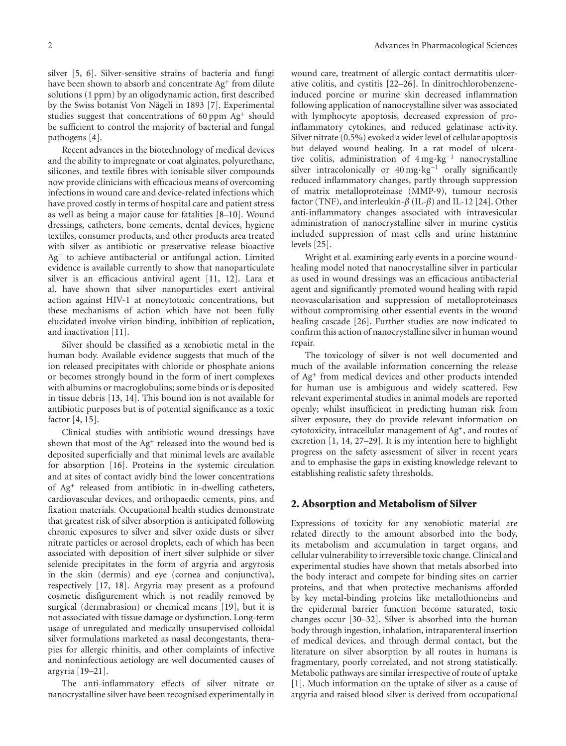silver [5, 6]. Silver-sensitive strains of bacteria and fungi have been shown to absorb and concentrate Ag<sup>+</sup> from dilute solutions (1 ppm) by an oligodynamic action, first described by the Swiss botanist Von Nägeli in 1893 [7]. Experimental studies suggest that concentrations of 60 ppm  $Ag<sup>+</sup>$  should be sufficient to control the majority of bacterial and fungal pathogens [4].

Recent advances in the biotechnology of medical devices and the ability to impregnate or coat alginates, polyurethane, silicones, and textile fibres with ionisable silver compounds now provide clinicians with efficacious means of overcoming infections in wound care and device-related infections which have proved costly in terms of hospital care and patient stress as well as being a major cause for fatalities [8–10]. Wound dressings, catheters, bone cements, dental devices, hygiene textiles, consumer products, and other products area treated with silver as antibiotic or preservative release bioactive Ag+ to achieve antibacterial or antifungal action. Limited evidence is available currently to show that nanoparticulate silver is an efficacious antiviral agent [11, 12]. Lara et al. have shown that silver nanoparticles exert antiviral action against HIV-1 at noncytotoxic concentrations, but these mechanisms of action which have not been fully elucidated involve virion binding, inhibition of replication, and inactivation [11].

Silver should be classified as a xenobiotic metal in the human body. Available evidence suggests that much of the ion released precipitates with chloride or phosphate anions or becomes strongly bound in the form of inert complexes with albumins or macroglobulins; some binds or is deposited in tissue debris [13, 14]. This bound ion is not available for antibiotic purposes but is of potential significance as a toxic factor [4, 15].

Clinical studies with antibiotic wound dressings have shown that most of the Ag<sup>+</sup> released into the wound bed is deposited superficially and that minimal levels are available for absorption [16]. Proteins in the systemic circulation and at sites of contact avidly bind the lower concentrations of Ag<sup>+</sup> released from antibiotic in in-dwelling catheters, cardiovascular devices, and orthopaedic cements, pins, and fixation materials. Occupational health studies demonstrate that greatest risk of silver absorption is anticipated following chronic exposures to silver and silver oxide dusts or silver nitrate particles or aerosol droplets, each of which has been associated with deposition of inert silver sulphide or silver selenide precipitates in the form of argyria and argyrosis in the skin (dermis) and eye (cornea and conjunctiva), respectively [17, 18]. Argyria may present as a profound cosmetic disfigurement which is not readily removed by surgical (dermabrasion) or chemical means [19], but it is not associated with tissue damage or dysfunction. Long-term usage of unregulated and medically unsupervised colloidal silver formulations marketed as nasal decongestants, therapies for allergic rhinitis, and other complaints of infective and noninfectious aetiology are well documented causes of argyria [19–21].

The anti-inflammatory effects of silver nitrate or nanocrystalline silver have been recognised experimentally in wound care, treatment of allergic contact dermatitis ulcerative colitis, and cystitis [22–26]. In dinitrochlorobenzeneinduced porcine or murine skin decreased inflammation following application of nanocrystalline silver was associated with lymphocyte apoptosis, decreased expression of proinflammatory cytokines, and reduced gelatinase activity. Silver nitrate (0.5%) evoked a wider level of cellular apoptosis but delayed wound healing. In a rat model of ulcerative colitis, administration of 4 mg·kg−<sup>1</sup> nanocrystalline silver intracolonically or 40 mg·kg−<sup>1</sup> orally significantly reduced inflammatory changes, partly through suppression of matrix metalloproteinase (MMP-9), tumour necrosis factor (TNF), and interleukin-*β* (IL-*β*) and IL-12 [24]. Other anti-inflammatory changes associated with intravesicular administration of nanocrystalline silver in murine cystitis included suppression of mast cells and urine histamine levels [25].

Wright et al. examining early events in a porcine woundhealing model noted that nanocrystalline silver in particular as used in wound dressings was an efficacious antibacterial agent and significantly promoted wound healing with rapid neovascularisation and suppression of metalloproteinases without compromising other essential events in the wound healing cascade [26]. Further studies are now indicated to confirm this action of nanocrystalline silver in human wound repair.

The toxicology of silver is not well documented and much of the available information concerning the release of Ag<sup>+</sup> from medical devices and other products intended for human use is ambiguous and widely scattered. Few relevant experimental studies in animal models are reported openly; whilst insufficient in predicting human risk from silver exposure, they do provide relevant information on cytotoxicity, intracellular management of Ag+, and routes of excretion [1, 14, 27–29]. It is my intention here to highlight progress on the safety assessment of silver in recent years and to emphasise the gaps in existing knowledge relevant to establishing realistic safety thresholds.

#### **2. Absorption and Metabolism of Silver**

Expressions of toxicity for any xenobiotic material are related directly to the amount absorbed into the body, its metabolism and accumulation in target organs, and cellular vulnerability to irreversible toxic change. Clinical and experimental studies have shown that metals absorbed into the body interact and compete for binding sites on carrier proteins, and that when protective mechanisms afforded by key metal-binding proteins like metallothioneins and the epidermal barrier function become saturated, toxic changes occur [30–32]. Silver is absorbed into the human body through ingestion, inhalation, intraparenteral insertion of medical devices, and through dermal contact, but the literature on silver absorption by all routes in humans is fragmentary, poorly correlated, and not strong statistically. Metabolic pathways are similar irrespective of route of uptake [1]. Much information on the uptake of silver as a cause of argyria and raised blood silver is derived from occupational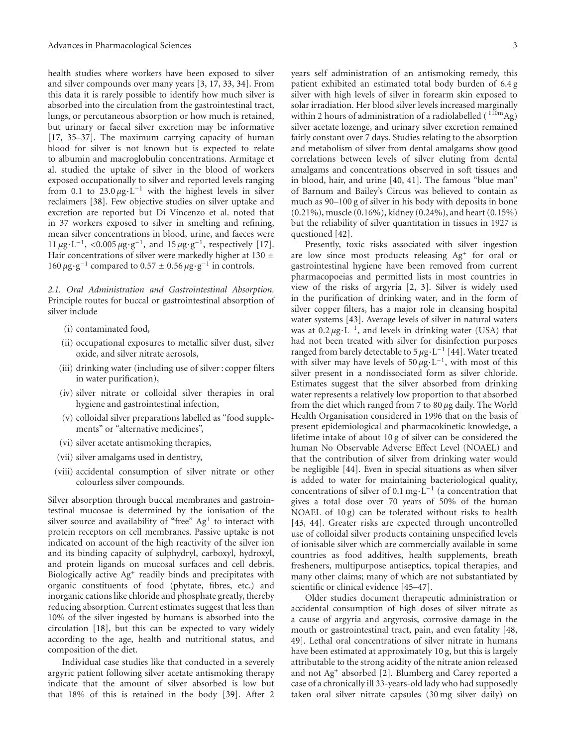health studies where workers have been exposed to silver and silver compounds over many years [3, 17, 33, 34]. From this data it is rarely possible to identify how much silver is absorbed into the circulation from the gastrointestinal tract, lungs, or percutaneous absorption or how much is retained, but urinary or faecal silver excretion may be informative [17, 35–37]. The maximum carrying capacity of human blood for silver is not known but is expected to relate to albumin and macroglobulin concentrations. Armitage et al. studied the uptake of silver in the blood of workers exposed occupationally to silver and reported levels ranging from 0.1 to  $23.0 \mu g \cdot L^{-1}$  with the highest levels in silver reclaimers [38]. Few objective studies on silver uptake and excretion are reported but Di Vincenzo et al. noted that in 37 workers exposed to silver in smelting and refining, mean silver concentrations in blood, urine, and faeces were <sup>11</sup> *<sup>μ</sup>*g·L−1, *<sup>&</sup>lt;*0.005 *<sup>μ</sup>*g·g−1, and 15 *<sup>μ</sup>*g·g−1, respectively [17]. Hair concentrations of silver were markedly higher at 130  $\pm$ <sup>160</sup> *<sup>μ</sup>*g·g−<sup>1</sup> compared to 0.57 <sup>±</sup> 0.56 *<sup>μ</sup>*g·g−<sup>1</sup> in controls.

*2.1. Oral Administration and Gastrointestinal Absorption.* Principle routes for buccal or gastrointestinal absorption of silver include

- (i) contaminated food,
- (ii) occupational exposures to metallic silver dust, silver oxide, and silver nitrate aerosols,
- (iii) drinking water (including use of silver : copper filters in water purification),
- (iv) silver nitrate or colloidal silver therapies in oral hygiene and gastrointestinal infection,
- (v) colloidal silver preparations labelled as "food supplements" or "alternative medicines",
- (vi) silver acetate antismoking therapies,
- (vii) silver amalgams used in dentistry,
- (viii) accidental consumption of silver nitrate or other colourless silver compounds.

Silver absorption through buccal membranes and gastrointestinal mucosae is determined by the ionisation of the silver source and availability of "free" Ag<sup>+</sup> to interact with protein receptors on cell membranes. Passive uptake is not indicated on account of the high reactivity of the silver ion and its binding capacity of sulphydryl, carboxyl, hydroxyl, and protein ligands on mucosal surfaces and cell debris. Biologically active Ag<sup>+</sup> readily binds and precipitates with organic constituents of food (phytate, fibres, etc.) and inorganic cations like chloride and phosphate greatly, thereby reducing absorption. Current estimates suggest that less than 10% of the silver ingested by humans is absorbed into the circulation [18], but this can be expected to vary widely according to the age, health and nutritional status, and composition of the diet.

Individual case studies like that conducted in a severely argyric patient following silver acetate antismoking therapy indicate that the amount of silver absorbed is low but that 18% of this is retained in the body [39]. After 2

years self administration of an antismoking remedy, this patient exhibited an estimated total body burden of 6.4 g silver with high levels of silver in forearm skin exposed to solar irradiation. Her blood silver levels increased marginally within 2 hours of administration of a radiolabelled  $(^{110m}Ag)$ silver acetate lozenge, and urinary silver excretion remained fairly constant over 7 days. Studies relating to the absorption and metabolism of silver from dental amalgams show good correlations between levels of silver eluting from dental amalgams and concentrations observed in soft tissues and in blood, hair, and urine [40, 41]. The famous "blue man" of Barnum and Bailey's Circus was believed to contain as much as 90–100 g of silver in his body with deposits in bone (0.21%), muscle (0.16%), kidney (0.24%), and heart (0.15%) but the reliability of silver quantitation in tissues in 1927 is questioned [42].

Presently, toxic risks associated with silver ingestion are low since most products releasing Ag<sup>+</sup> for oral or gastrointestinal hygiene have been removed from current pharmacopoeias and permitted lists in most countries in view of the risks of argyria [2, 3]. Silver is widely used in the purification of drinking water, and in the form of silver copper filters, has a major role in cleansing hospital water systems [43]. Average levels of silver in natural waters was at 0.2 *<sup>μ</sup>*g·L−1, and levels in drinking water (USA) that had not been treated with silver for disinfection purposes ranged from barely detectable to 5 *<sup>μ</sup>*g·L−<sup>1</sup> [44]. Water treated with silver may have levels of 50 *μ*g⋅L<sup>-1</sup>, with most of this silver present in a nondissociated form as silver chloride. Estimates suggest that the silver absorbed from drinking water represents a relatively low proportion to that absorbed from the diet which ranged from 7 to 80 *μ*g daily. The World Health Organisation considered in 1996 that on the basis of present epidemiological and pharmacokinetic knowledge, a lifetime intake of about 10 g of silver can be considered the human No Observable Adverse Effect Level (NOAEL) and that the contribution of silver from drinking water would be negligible [44]. Even in special situations as when silver is added to water for maintaining bacteriological quality, concentrations of silver of 0.1 mg·L−<sup>1</sup> (a concentration that gives a total dose over 70 years of 50% of the human NOAEL of 10 g) can be tolerated without risks to health [43, 44]. Greater risks are expected through uncontrolled use of colloidal silver products containing unspecified levels of ionisable silver which are commercially available in some countries as food additives, health supplements, breath fresheners, multipurpose antiseptics, topical therapies, and many other claims; many of which are not substantiated by scientific or clinical evidence [45–47].

Older studies document therapeutic administration or accidental consumption of high doses of silver nitrate as a cause of argyria and argyrosis, corrosive damage in the mouth or gastrointestinal tract, pain, and even fatality [48, 49]. Lethal oral concentrations of silver nitrate in humans have been estimated at approximately 10 g, but this is largely attributable to the strong acidity of the nitrate anion released and not Ag<sup>+</sup> absorbed [2]. Blumberg and Carey reported a case of a chronically ill 33-years-old lady who had supposedly taken oral silver nitrate capsules (30 mg silver daily) on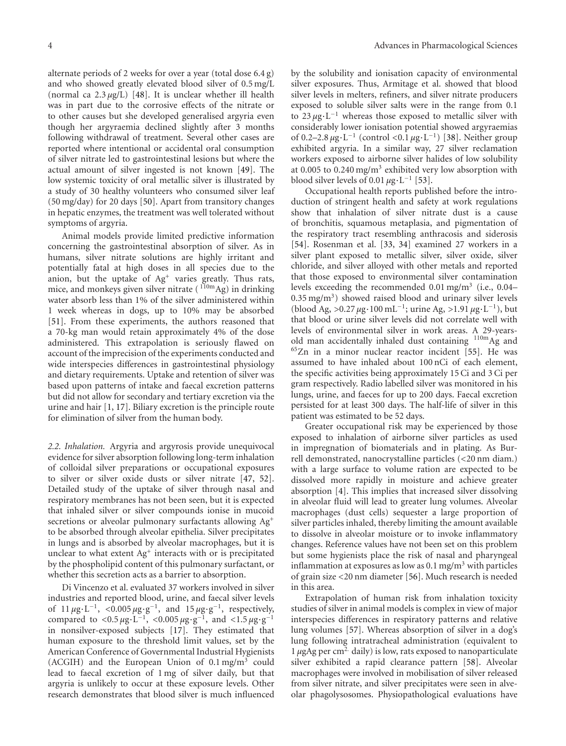alternate periods of 2 weeks for over a year (total dose 6.4 g) and who showed greatly elevated blood silver of 0.5 mg/L (normal ca 2.3 *μ*g/L) [48]. It is unclear whether ill health was in part due to the corrosive effects of the nitrate or to other causes but she developed generalised argyria even though her argyraemia declined slightly after 3 months following withdrawal of treatment. Several other cases are reported where intentional or accidental oral consumption of silver nitrate led to gastrointestinal lesions but where the actual amount of silver ingested is not known [49]. The low systemic toxicity of oral metallic silver is illustrated by a study of 30 healthy volunteers who consumed silver leaf (50 mg/day) for 20 days [50]. Apart from transitory changes in hepatic enzymes, the treatment was well tolerated without symptoms of argyria.

Animal models provide limited predictive information concerning the gastrointestinal absorption of silver. As in humans, silver nitrate solutions are highly irritant and potentially fatal at high doses in all species due to the anion, but the uptake of Ag<sup>+</sup> varies greatly. Thus rats, mice, and monkeys given silver nitrate (<sup>110m</sup>Ag) in drinking water absorb less than 1% of the silver administered within 1 week whereas in dogs, up to 10% may be absorbed [51]. From these experiments, the authors reasoned that a 70-kg man would retain approximately 4% of the dose administered. This extrapolation is seriously flawed on account of the imprecision of the experiments conducted and wide interspecies differences in gastrointestinal physiology and dietary requirements. Uptake and retention of silver was based upon patterns of intake and faecal excretion patterns but did not allow for secondary and tertiary excretion via the urine and hair [1, 17]. Biliary excretion is the principle route for elimination of silver from the human body.

*2.2. Inhalation.* Argyria and argyrosis provide unequivocal evidence for silver absorption following long-term inhalation of colloidal silver preparations or occupational exposures to silver or silver oxide dusts or silver nitrate [47, 52]. Detailed study of the uptake of silver through nasal and respiratory membranes has not been seen, but it is expected that inhaled silver or silver compounds ionise in mucoid secretions or alveolar pulmonary surfactants allowing Ag<sup>+</sup> to be absorbed through alveolar epithelia. Silver precipitates in lungs and is absorbed by alveolar macrophages, but it is unclear to what extent  $Ag<sup>+</sup>$  interacts with or is precipitated by the phospholipid content of this pulmonary surfactant, or whether this secretion acts as a barrier to absorption.

Di Vincenzo et al. evaluated 37 workers involved in silver industries and reported blood, urine, and faecal silver levels of  $11 \mu$ g·L<sup>-1</sup>, <0.005  $\mu$ g·g<sup>-1</sup>, and  $15 \mu$ g·g<sup>-1</sup>, respectively, compared to *<sup>&</sup>lt;*0.5 *<sup>μ</sup>*g·L−1, *<sup>&</sup>lt;*0.005 *<sup>μ</sup>*g·g−1, and *<sup>&</sup>lt;*1.5 *<sup>μ</sup>*g·g−<sup>1</sup> in nonsilver-exposed subjects [17]. They estimated that human exposure to the threshold limit values, set by the American Conference of Governmental Industrial Hygienists (ACGIH) and the European Union of  $0.1 \text{ mg/m}^3$  could lead to faecal excretion of 1 mg of silver daily, but that argyria is unlikely to occur at these exposure levels. Other research demonstrates that blood silver is much influenced by the solubility and ionisation capacity of environmental silver exposures. Thus, Armitage et al. showed that blood silver levels in melters, refiners, and silver nitrate producers exposed to soluble silver salts were in the range from 0.1 to  $23 \mu$ g·L<sup>-1</sup> whereas those exposed to metallic silver with considerably lower ionisation potential showed argyraemias of 0.2–2.8 *<sup>μ</sup>*g·L−<sup>1</sup> (control *<sup>&</sup>lt;*0.1 *<sup>μ</sup>*g·L−1) [38]. Neither group exhibited argyria. In a similar way, 27 silver reclamation workers exposed to airborne silver halides of low solubility at 0.005 to 0.240 mg/m<sup>3</sup> exhibited very low absorption with blood silver levels of 0.01 *<sup>μ</sup>*g·L−<sup>1</sup> [53].

Occupational health reports published before the introduction of stringent health and safety at work regulations show that inhalation of silver nitrate dust is a cause of bronchitis, squamous metaplasia, and pigmentation of the respiratory tract resembling anthracosis and siderosis [54]. Rosenman et al. [33, 34] examined 27 workers in a silver plant exposed to metallic silver, silver oxide, silver chloride, and silver alloyed with other metals and reported that those exposed to environmental silver contamination levels exceeding the recommended  $0.01 \text{ mg/m}^3$  (i.e.,  $0.04 0.35 \,\mathrm{mg/m^3}$ ) showed raised blood and urinary silver levels (blood Ag, *<sup>&</sup>gt;*0.27 *<sup>μ</sup>*g·100 mL−1; urine Ag, *<sup>&</sup>gt;*1.91 *<sup>μ</sup>*g·L−1), but that blood or urine silver levels did not correlate well with levels of environmental silver in work areas. A 29-yearsold man accidentally inhaled dust containing  $110m\text{Ag}$  and 65Zn in a minor nuclear reactor incident [55]. He was assumed to have inhaled about 100 nCi of each element, the specific activities being approximately 15 Ci and 3 Ci per gram respectively. Radio labelled silver was monitored in his lungs, urine, and faeces for up to 200 days. Faecal excretion persisted for at least 300 days. The half-life of silver in this patient was estimated to be 52 days.

Greater occupational risk may be experienced by those exposed to inhalation of airborne silver particles as used in impregnation of biomaterials and in plating. As Burrell demonstrated, nanocrystalline particles (*<*20 nm diam.) with a large surface to volume ration are expected to be dissolved more rapidly in moisture and achieve greater absorption [4]. This implies that increased silver dissolving in alveolar fluid will lead to greater lung volumes. Alveolar macrophages (dust cells) sequester a large proportion of silver particles inhaled, thereby limiting the amount available to dissolve in alveolar moisture or to invoke inflammatory changes. Reference values have not been set on this problem but some hygienists place the risk of nasal and pharyngeal inflammation at exposures as low as  $0.1$  mg/m<sup>3</sup> with particles of grain size *<*20 nm diameter [56]. Much research is needed in this area.

Extrapolation of human risk from inhalation toxicity studies of silver in animal models is complex in view of major interspecies differences in respiratory patterns and relative lung volumes [57]. Whereas absorption of silver in a dog's lung following intratracheal administration (equivalent to 1 *μ*gAg per cm2*.* daily) is low, rats exposed to nanoparticulate silver exhibited a rapid clearance pattern [58]. Alveolar macrophages were involved in mobilisation of silver released from silver nitrate, and silver precipitates were seen in alveolar phagolysosomes. Physiopathological evaluations have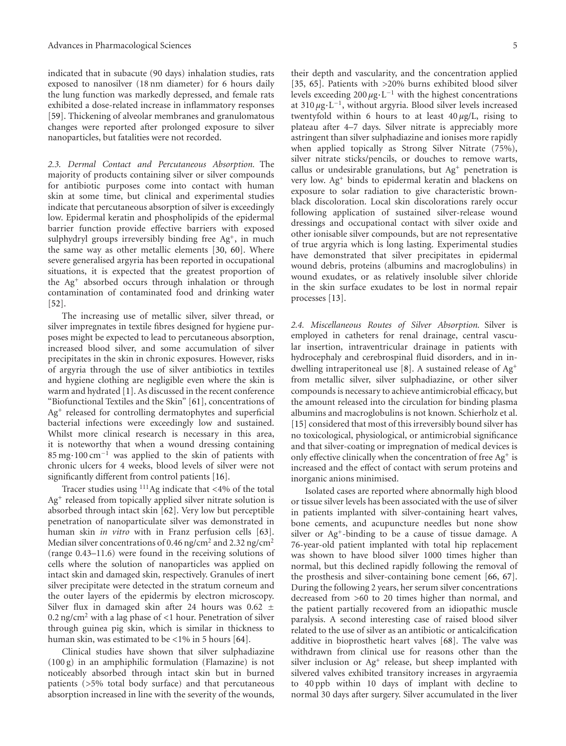indicated that in subacute (90 days) inhalation studies, rats exposed to nanosilver (18 nm diameter) for 6 hours daily the lung function was markedly depressed, and female rats exhibited a dose-related increase in inflammatory responses [59]. Thickening of alveolar membranes and granulomatous changes were reported after prolonged exposure to silver nanoparticles, but fatalities were not recorded.

*2.3. Dermal Contact and Percutaneous Absorption.* The majority of products containing silver or silver compounds for antibiotic purposes come into contact with human skin at some time, but clinical and experimental studies indicate that percutaneous absorption of silver is exceedingly low. Epidermal keratin and phospholipids of the epidermal barrier function provide effective barriers with exposed sulphydryl groups irreversibly binding free Ag<sup>+</sup>, in much the same way as other metallic elements [30, 60]. Where severe generalised argyria has been reported in occupational situations, it is expected that the greatest proportion of the Ag+ absorbed occurs through inhalation or through contamination of contaminated food and drinking water [52].

The increasing use of metallic silver, silver thread, or silver impregnates in textile fibres designed for hygiene purposes might be expected to lead to percutaneous absorption, increased blood silver, and some accumulation of silver precipitates in the skin in chronic exposures. However, risks of argyria through the use of silver antibiotics in textiles and hygiene clothing are negligible even where the skin is warm and hydrated [1]. As discussed in the recent conference "Biofunctional Textiles and the Skin" [61], concentrations of Ag<sup>+</sup> released for controlling dermatophytes and superficial bacterial infections were exceedingly low and sustained. Whilst more clinical research is necessary in this area, it is noteworthy that when a wound dressing containing 85 mg·100 cm−<sup>1</sup> was applied to the skin of patients with chronic ulcers for 4 weeks, blood levels of silver were not significantly different from control patients [16].

Tracer studies using 111Ag indicate that *<*4% of the total Ag<sup>+</sup> released from topically applied silver nitrate solution is absorbed through intact skin [62]. Very low but perceptible penetration of nanoparticulate silver was demonstrated in human skin *in vitro* with in Franz perfusion cells [63]. Median silver concentrations of 0.46 ng/cm<sup>2</sup> and 2.32 ng/cm<sup>2</sup> (range 0.43–11.6) were found in the receiving solutions of cells where the solution of nanoparticles was applied on intact skin and damaged skin, respectively. Granules of inert silver precipitate were detected in the stratum corneum and the outer layers of the epidermis by electron microscopy. Silver flux in damaged skin after 24 hours was  $0.62 \pm$ 0.2 ng/cm2 with a lag phase of *<*1 hour. Penetration of silver through guinea pig skin, which is similar in thickness to human skin, was estimated to be *<*1% in 5 hours [64].

Clinical studies have shown that silver sulphadiazine (100 g) in an amphiphilic formulation (Flamazine) is not noticeably absorbed through intact skin but in burned patients (*>*5% total body surface) and that percutaneous absorption increased in line with the severity of the wounds,

their depth and vascularity, and the concentration applied [35, 65]. Patients with *>*20% burns exhibited blood silver levels exceeding 200  $\mu$ g·L<sup>-1</sup> with the highest concentrations at 310 *<sup>μ</sup>*g·L−1, without argyria. Blood silver levels increased twentyfold within 6 hours to at least 40 *μ*g/L, rising to plateau after 4–7 days. Silver nitrate is appreciably more astringent than silver sulphadiazine and ionises more rapidly when applied topically as Strong Silver Nitrate (75%), silver nitrate sticks/pencils, or douches to remove warts, callus or undesirable granulations, but Ag<sup>+</sup> penetration is very low. Ag+ binds to epidermal keratin and blackens on exposure to solar radiation to give characteristic brownblack discoloration. Local skin discolorations rarely occur following application of sustained silver-release wound dressings and occupational contact with silver oxide and other ionisable silver compounds, but are not representative of true argyria which is long lasting. Experimental studies have demonstrated that silver precipitates in epidermal wound debris, proteins (albumins and macroglobulins) in wound exudates, or as relatively insoluble silver chloride in the skin surface exudates to be lost in normal repair processes [13].

*2.4. Miscellaneous Routes of Silver Absorption.* Silver is employed in catheters for renal drainage, central vascular insertion, intraventricular drainage in patients with hydrocephaly and cerebrospinal fluid disorders, and in indwelling intraperitoneal use [8]. A sustained release of Ag<sup>+</sup> from metallic silver, silver sulphadiazine, or other silver compounds is necessary to achieve antimicrobial efficacy, but the amount released into the circulation for binding plasma albumins and macroglobulins is not known. Schierholz et al. [15] considered that most of this irreversibly bound silver has no toxicological, physiological, or antimicrobial significance and that silver-coating or impregnation of medical devices is only effective clinically when the concentration of free Ag+ is increased and the effect of contact with serum proteins and inorganic anions minimised.

Isolated cases are reported where abnormally high blood or tissue silver levels has been associated with the use of silver in patients implanted with silver-containing heart valves, bone cements, and acupuncture needles but none show silver or Ag+-binding to be a cause of tissue damage. A 76-year-old patient implanted with total hip replacement was shown to have blood silver 1000 times higher than normal, but this declined rapidly following the removal of the prosthesis and silver-containing bone cement [66, 67]. During the following 2 years, her serum silver concentrations decreased from *>*60 to 20 times higher than normal, and the patient partially recovered from an idiopathic muscle paralysis. A second interesting case of raised blood silver related to the use of silver as an antibiotic or anticalcification additive in bioprosthetic heart valves [68]. The valve was withdrawn from clinical use for reasons other than the silver inclusion or Ag<sup>+</sup> release, but sheep implanted with silvered valves exhibited transitory increases in argyraemia to 40 ppb within 10 days of implant with decline to normal 30 days after surgery. Silver accumulated in the liver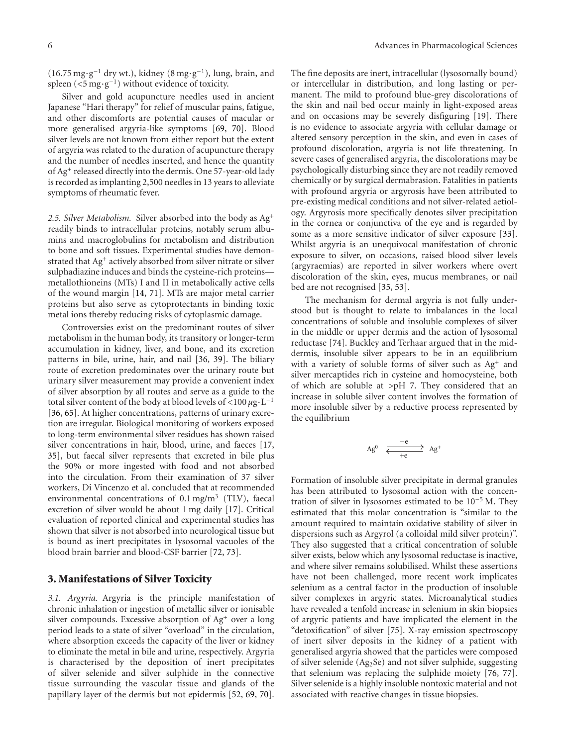(16.75 mg·g<sup>-1</sup> dry wt.), kidney (8 mg·g<sup>-1</sup>), lung, brain, and spleen ( $\leq 5$  mg·g<sup>-1</sup>) without evidence of toxicity.

Silver and gold acupuncture needles used in ancient Japanese "Hari therapy" for relief of muscular pains, fatigue, and other discomforts are potential causes of macular or more generalised argyria-like symptoms [69, 70]. Blood silver levels are not known from either report but the extent of argyria was related to the duration of acupuncture therapy and the number of needles inserted, and hence the quantity of Ag<sup>+</sup> released directly into the dermis. One 57-year-old lady is recorded as implanting 2,500 needles in 13 years to alleviate symptoms of rheumatic fever.

*2.5. Silver Metabolism.* Silver absorbed into the body as Ag<sup>+</sup> readily binds to intracellular proteins, notably serum albumins and macroglobulins for metabolism and distribution to bone and soft tissues. Experimental studies have demonstrated that Ag<sup>+</sup> actively absorbed from silver nitrate or silver sulphadiazine induces and binds the cysteine-rich proteins metallothioneins (MTs) I and II in metabolically active cells of the wound margin [14, 71]. MTs are major metal carrier proteins but also serve as cytoprotectants in binding toxic metal ions thereby reducing risks of cytoplasmic damage.

Controversies exist on the predominant routes of silver metabolism in the human body, its transitory or longer-term accumulation in kidney, liver, and bone, and its excretion patterns in bile, urine, hair, and nail [36, 39]. The biliary route of excretion predominates over the urinary route but urinary silver measurement may provide a convenient index of silver absorption by all routes and serve as a guide to the total silver content of the body at blood levels of *<sup>&</sup>lt;*<sup>100</sup> *<sup>μ</sup>*g·L−<sup>1</sup> [36, 65]. At higher concentrations, patterns of urinary excretion are irregular. Biological monitoring of workers exposed to long-term environmental silver residues has shown raised silver concentrations in hair, blood, urine, and faeces [17, 35], but faecal silver represents that excreted in bile plus the 90% or more ingested with food and not absorbed into the circulation. From their examination of 37 silver workers, Di Vincenzo et al. concluded that at recommended environmental concentrations of  $0.1 \text{ mg/m}^3$  (TLV), faecal excretion of silver would be about 1 mg daily [17]. Critical evaluation of reported clinical and experimental studies has shown that silver is not absorbed into neurological tissue but is bound as inert precipitates in lysosomal vacuoles of the blood brain barrier and blood-CSF barrier [72, 73].

#### **3. Manifestations of Silver Toxicity**

*3.1. Argyria.* Argyria is the principle manifestation of chronic inhalation or ingestion of metallic silver or ionisable silver compounds. Excessive absorption of Ag<sup>+</sup> over a long period leads to a state of silver "overload" in the circulation, where absorption exceeds the capacity of the liver or kidney to eliminate the metal in bile and urine, respectively. Argyria is characterised by the deposition of inert precipitates of silver selenide and silver sulphide in the connective tissue surrounding the vascular tissue and glands of the papillary layer of the dermis but not epidermis [52, 69, 70].

The fine deposits are inert, intracellular (lysosomally bound) or intercellular in distribution, and long lasting or permanent. The mild to profound blue-grey discolorations of the skin and nail bed occur mainly in light-exposed areas and on occasions may be severely disfiguring [19]. There is no evidence to associate argyria with cellular damage or altered sensory perception in the skin, and even in cases of profound discoloration, argyria is not life threatening. In severe cases of generalised argyria, the discolorations may be psychologically disturbing since they are not readily removed chemically or by surgical dermabrasion. Fatalities in patients with profound argyria or argyrosis have been attributed to pre-existing medical conditions and not silver-related aetiology. Argyrosis more specifically denotes silver precipitation in the cornea or conjunctiva of the eye and is regarded by some as a more sensitive indicator of silver exposure [33]. Whilst argyria is an unequivocal manifestation of chronic exposure to silver, on occasions, raised blood silver levels (argyraemias) are reported in silver workers where overt discoloration of the skin, eyes, mucus membranes, or nail bed are not recognised [35, 53].

The mechanism for dermal argyria is not fully understood but is thought to relate to imbalances in the local concentrations of soluble and insoluble complexes of silver in the middle or upper dermis and the action of lysosomal reductase [74]. Buckley and Terhaar argued that in the middermis, insoluble silver appears to be in an equilibrium with a variety of soluble forms of silver such as Ag<sup>+</sup> and silver mercaptides rich in cysteine and homocysteine, both of which are soluble at *>*pH 7. They considered that an increase in soluble silver content involves the formation of more insoluble silver by a reductive process represented by the equilibrium

$$
Ag^0 \ \xrightarrow{\ \ -e\ \ } \ Ag^+
$$

Formation of insoluble silver precipitate in dermal granules has been attributed to lysosomal action with the concentration of silver in lysosomes estimated to be 10−<sup>5</sup> M. They estimated that this molar concentration is "similar to the amount required to maintain oxidative stability of silver in dispersions such as Argyrol (a colloidal mild silver protein)". They also suggested that a critical concentration of soluble silver exists, below which any lysosomal reductase is inactive, and where silver remains solubilised. Whilst these assertions have not been challenged, more recent work implicates selenium as a central factor in the production of insoluble silver complexes in argyric states. Microanalytical studies have revealed a tenfold increase in selenium in skin biopsies of argyric patients and have implicated the element in the "detoxification" of silver [75]. X-ray emission spectroscopy of inert silver deposits in the kidney of a patient with generalised argyria showed that the particles were composed of silver selenide (Ag2Se) and not silver sulphide, suggesting that selenium was replacing the sulphide moiety [76, 77]. Silver selenide is a highly insoluble nontoxic material and not associated with reactive changes in tissue biopsies.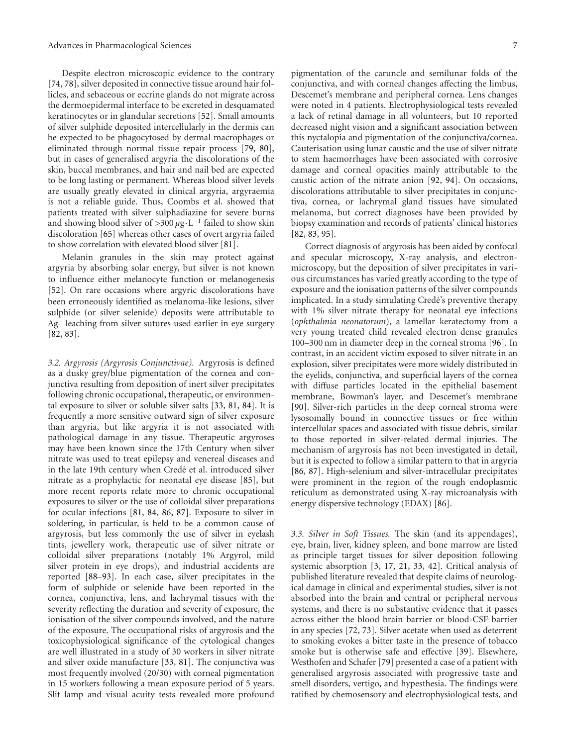Despite electron microscopic evidence to the contrary [74, 78], silver deposited in connective tissue around hair follicles, and sebaceous or eccrine glands do not migrate across the dermoepidermal interface to be excreted in desquamated keratinocytes or in glandular secretions [52]. Small amounts of silver sulphide deposited intercellularly in the dermis can be expected to be phagocytosed by dermal macrophages or eliminated through normal tissue repair process [79, 80], but in cases of generalised argyria the discolorations of the skin, buccal membranes, and hair and nail bed are expected to be long lasting or permanent. Whereas blood silver levels are usually greatly elevated in clinical argyria, argyraemia is not a reliable guide. Thus, Coombs et al. showed that patients treated with silver sulphadiazine for severe burns and showing blood silver of *<sup>&</sup>gt;*<sup>300</sup> *<sup>μ</sup>*g·L−<sup>1</sup> failed to show skin discoloration [65] whereas other cases of overt argyria failed to show correlation with elevated blood silver [81].

Melanin granules in the skin may protect against argyria by absorbing solar energy, but silver is not known to influence either melanocyte function or melanogenesis [52]. On rare occasions where argyric discolorations have been erroneously identified as melanoma-like lesions, silver sulphide (or silver selenide) deposits were attributable to Ag<sup>+</sup> leaching from silver sutures used earlier in eye surgery [82, 83].

*3.2. Argyrosis (Argyrosis Conjunctivae).* Argyrosis is defined as a dusky grey/blue pigmentation of the cornea and conjunctiva resulting from deposition of inert silver precipitates following chronic occupational, therapeutic, or environmental exposure to silver or soluble silver salts [33, 81, 84]. It is frequently a more sensitive outward sign of silver exposure than argyria, but like argyria it is not associated with pathological damage in any tissue. Therapeutic argyroses may have been known since the 17th Century when silver nitrate was used to treat epilepsy and venereal diseases and in the late 19th century when Credé et al. introduced silver nitrate as a prophylactic for neonatal eye disease [85], but more recent reports relate more to chronic occupational exposures to silver or the use of colloidal silver preparations for ocular infections [81, 84, 86, 87]. Exposure to silver in soldering, in particular, is held to be a common cause of argyrosis, but less commonly the use of silver in eyelash tints, jewellery work, therapeutic use of silver nitrate or colloidal silver preparations (notably 1% Argyrol, mild silver protein in eye drops), and industrial accidents are reported [88–93]. In each case, silver precipitates in the form of sulphide or selenide have been reported in the cornea, conjunctiva, lens, and lachrymal tissues with the severity reflecting the duration and severity of exposure, the ionisation of the silver compounds involved, and the nature of the exposure. The occupational risks of argyrosis and the toxicophysiological significance of the cytological changes are well illustrated in a study of 30 workers in silver nitrate and silver oxide manufacture [33, 81]. The conjunctiva was most frequently involved (20/30) with corneal pigmentation in 15 workers following a mean exposure period of 5 years. Slit lamp and visual acuity tests revealed more profound

pigmentation of the caruncle and semilunar folds of the conjunctiva, and with corneal changes affecting the limbus, Descemet's membrane and peripheral cornea. Lens changes were noted in 4 patients. Electrophysiological tests revealed a lack of retinal damage in all volunteers, but 10 reported decreased night vision and a significant association between this nyctalopia and pigmentation of the conjunctiva/cornea. Cauterisation using lunar caustic and the use of silver nitrate to stem haemorrhages have been associated with corrosive damage and corneal opacities mainly attributable to the caustic action of the nitrate anion [92, 94]. On occasions, discolorations attributable to silver precipitates in conjunctiva, cornea, or lachrymal gland tissues have simulated melanoma, but correct diagnoses have been provided by biopsy examination and records of patients' clinical histories [82, 83, 95].

Correct diagnosis of argyrosis has been aided by confocal and specular microscopy, X-ray analysis, and electronmicroscopy, but the deposition of silver precipitates in various circumstances has varied greatly according to the type of exposure and the ionisation patterns of the silver compounds implicated. In a study simulating Credé's preventive therapy with 1% silver nitrate therapy for neonatal eye infections (*ophthalmia neonatorum*), a lamellar keratectomy from a very young treated child revealed electron dense granules 100–300 nm in diameter deep in the corneal stroma [96]. In contrast, in an accident victim exposed to silver nitrate in an explosion, silver precipitates were more widely distributed in the eyelids, conjunctiva, and superficial layers of the cornea with diffuse particles located in the epithelial basement membrane, Bowman's layer, and Descemet's membrane [90]. Silver-rich particles in the deep corneal stroma were lysosomally bound in connective tissues or free within intercellular spaces and associated with tissue debris, similar to those reported in silver-related dermal injuries. The mechanism of argyrosis has not been investigated in detail, but it is expected to follow a similar pattern to that in argyria [86, 87]. High-selenium and silver-intracellular precipitates were prominent in the region of the rough endoplasmic reticulum as demonstrated using X-ray microanalysis with energy dispersive technology (EDAX) [86].

*3.3. Silver in Soft Tissues.* The skin (and its appendages), eye, brain, liver, kidney spleen, and bone marrow are listed as principle target tissues for silver deposition following systemic absorption [3, 17, 21, 33, 42]. Critical analysis of published literature revealed that despite claims of neurological damage in clinical and experimental studies, silver is not absorbed into the brain and central or peripheral nervous systems, and there is no substantive evidence that it passes across either the blood brain barrier or blood-CSF barrier in any species [72, 73]. Silver acetate when used as deterrent to smoking evokes a bitter taste in the presence of tobacco smoke but is otherwise safe and effective [39]. Elsewhere, Westhofen and Schafer [79] presented a case of a patient with generalised argyrosis associated with progressive taste and smell disorders, vertigo, and hypesthesia. The findings were ratified by chemosensory and electrophysiological tests, and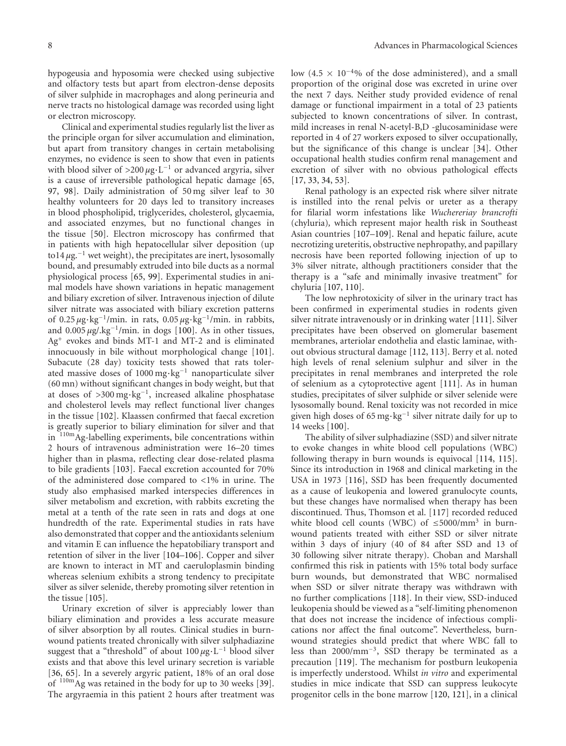hypogeusia and hyposomia were checked using subjective and olfactory tests but apart from electron-dense deposits of silver sulphide in macrophages and along perineuria and nerve tracts no histological damage was recorded using light or electron microscopy.

Clinical and experimental studies regularly list the liver as the principle organ for silver accumulation and elimination, but apart from transitory changes in certain metabolising enzymes, no evidence is seen to show that even in patients with blood silver of *<sup>&</sup>gt;*<sup>200</sup> *<sup>μ</sup>*g·L−<sup>1</sup> or advanced argyria, silver is a cause of irreversible pathological hepatic damage [65, 97, 98]. Daily administration of 50 mg silver leaf to 30 healthy volunteers for 20 days led to transitory increases in blood phospholipid, triglycerides, cholesterol, glycaemia, and associated enzymes, but no functional changes in the tissue [50]. Electron microscopy has confirmed that in patients with high hepatocellular silver deposition (up to14  $\mu$ g.<sup>-1</sup> wet weight), the precipitates are inert, lysosomally bound, and presumably extruded into bile ducts as a normal physiological process [65, 99]. Experimental studies in animal models have shown variations in hepatic management and biliary excretion of silver. Intravenous injection of dilute silver nitrate was associated with biliary excretion patterns of 0.25 *<sup>μ</sup>*g·kg−1/min. in rats, 0.05 *<sup>μ</sup>*g·kg−1/min. in rabbits, and 0.005 *μg*/.kg<sup>-1</sup>/min. in dogs [100]. As in other tissues, Ag<sup>+</sup> evokes and binds MT-1 and MT-2 and is eliminated innocuously in bile without morphological change [101]. Subacute (28 day) toxicity tests showed that rats tolerated massive doses of 1000 mg·kg−<sup>1</sup> nanoparticulate silver (60 mn) without significant changes in body weight, but that at doses of *<sup>&</sup>gt;*300 mg·kg−1, increased alkaline phosphatase and cholesterol levels may reflect functional liver changes in the tissue [102]. Klaassen confirmed that faecal excretion is greatly superior to biliary elimination for silver and that in 110mAg-labelling experiments, bile concentrations within 2 hours of intravenous administration were 16–20 times higher than in plasma, reflecting clear dose-related plasma to bile gradients [103]. Faecal excretion accounted for 70% of the administered dose compared to *<*1% in urine. The study also emphasised marked interspecies differences in silver metabolism and excretion, with rabbits excreting the metal at a tenth of the rate seen in rats and dogs at one hundredth of the rate. Experimental studies in rats have also demonstrated that copper and the antioxidants selenium and vitamin E can influence the hepatobiliary transport and retention of silver in the liver [104–106]. Copper and silver are known to interact in MT and caeruloplasmin binding whereas selenium exhibits a strong tendency to precipitate silver as silver selenide, thereby promoting silver retention in the tissue [105].

Urinary excretion of silver is appreciably lower than biliary elimination and provides a less accurate measure of silver absorption by all routes. Clinical studies in burnwound patients treated chronically with silver sulphadiazine suggest that a "threshold" of about 100 *<sup>μ</sup>*g·L−<sup>1</sup> blood silver exists and that above this level urinary secretion is variable [36, 65]. In a severely argyric patient, 18% of an oral dose of 110mAg was retained in the body for up to 30 weeks [39]. The argyraemia in this patient 2 hours after treatment was

low (4.5  $\times$  10<sup>-4</sup>% of the dose administered), and a small proportion of the original dose was excreted in urine over the next 7 days. Neither study provided evidence of renal damage or functional impairment in a total of 23 patients subjected to known concentrations of silver. In contrast, mild increases in renal N-acetyl-B,D -glucosaminidase were reported in 4 of 27 workers exposed to silver occupationally, but the significance of this change is unclear [34]. Other occupational health studies confirm renal management and excretion of silver with no obvious pathological effects [17, 33, 34, 53].

Renal pathology is an expected risk where silver nitrate is instilled into the renal pelvis or ureter as a therapy for filarial worm infestations like *Wuchereriay brancrofti* (chyluria)*,* which represent major health risk in Southeast Asian countries [107–109]. Renal and hepatic failure, acute necrotizing ureteritis, obstructive nephropathy, and papillary necrosis have been reported following injection of up to 3% silver nitrate, although practitioners consider that the therapy is a "safe and minimally invasive treatment" for chyluria [107, 110].

The low nephrotoxicity of silver in the urinary tract has been confirmed in experimental studies in rodents given silver nitrate intravenously or in drinking water [111]. Silver precipitates have been observed on glomerular basement membranes, arteriolar endothelia and elastic laminae, without obvious structural damage [112, 113]. Berry et al. noted high levels of renal selenium sulphur and silver in the precipitates in renal membranes and interpreted the role of selenium as a cytoprotective agent [111]. As in human studies, precipitates of silver sulphide or silver selenide were lysosomally bound. Renal toxicity was not recorded in mice given high doses of 65 mg·kg−<sup>1</sup> silver nitrate daily for up to 14 weeks [100].

The ability of silver sulphadiazine (SSD) and silver nitrate to evoke changes in white blood cell populations (WBC) following therapy in burn wounds is equivocal [114, 115]. Since its introduction in 1968 and clinical marketing in the USA in 1973 [116], SSD has been frequently documented as a cause of leukopenia and lowered granulocyte counts, but these changes have normalised when therapy has been discontinued. Thus, Thomson et al. [117] recorded reduced white blood cell counts (WBC) of  $\leq$ 5000/mm<sup>3</sup> in burnwound patients treated with either SSD or silver nitrate within 3 days of injury (40 of 84 after SSD and 13 of 30 following silver nitrate therapy). Choban and Marshall confirmed this risk in patients with 15% total body surface burn wounds, but demonstrated that WBC normalised when SSD or silver nitrate therapy was withdrawn with no further complications [118]. In their view, SSD-induced leukopenia should be viewed as a "self-limiting phenomenon that does not increase the incidence of infectious complications nor affect the final outcome". Nevertheless, burnwound strategies should predict that where WBC fall to less than 2000/mm−3, SSD therapy be terminated as a precaution [119]. The mechanism for postburn leukopenia is imperfectly understood. Whilst *in vitro* and experimental studies in mice indicate that SSD can suppress leukocyte progenitor cells in the bone marrow [120, 121], in a clinical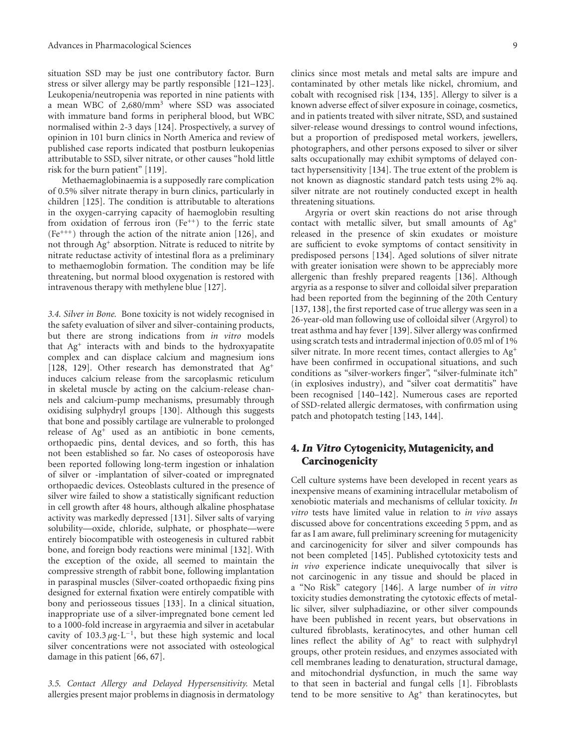situation SSD may be just one contributory factor. Burn stress or silver allergy may be partly responsible [121–123]. Leukopenia/neutropenia was reported in nine patients with a mean WBC of 2,680/mm<sup>3</sup> where SSD was associated with immature band forms in peripheral blood, but WBC normalised within 2-3 days [124]. Prospectively, a survey of opinion in 101 burn clinics in North America and review of published case reports indicated that postburn leukopenias attributable to SSD, silver nitrate, or other causes "hold little risk for the burn patient" [119].

Methaemaglobinaemia is a supposedly rare complication of 0.5% silver nitrate therapy in burn clinics, particularly in children [125]. The condition is attributable to alterations in the oxygen-carrying capacity of haemoglobin resulting from oxidation of ferrous iron (Fe<sup>++</sup>) to the ferric state  $(Fe^{+++})$  through the action of the nitrate anion [126], and not through Ag<sup>+</sup> absorption. Nitrate is reduced to nitrite by nitrate reductase activity of intestinal flora as a preliminary to methaemoglobin formation. The condition may be life threatening, but normal blood oxygenation is restored with intravenous therapy with methylene blue [127].

*3.4. Silver in Bone.* Bone toxicity is not widely recognised in the safety evaluation of silver and silver-containing products, but there are strong indications from *in vitro* models that Ag<sup>+</sup> interacts with and binds to the hydroxyapatite complex and can displace calcium and magnesium ions [128, 129]. Other research has demonstrated that Ag+ induces calcium release from the sarcoplasmic reticulum in skeletal muscle by acting on the calcium-release channels and calcium-pump mechanisms, presumably through oxidising sulphydryl groups [130]. Although this suggests that bone and possibly cartilage are vulnerable to prolonged release of Ag<sup>+</sup> used as an antibiotic in bone cements, orthopaedic pins, dental devices, and so forth, this has not been established so far. No cases of osteoporosis have been reported following long-term ingestion or inhalation of silver or -implantation of silver-coated or impregnated orthopaedic devices. Osteoblasts cultured in the presence of silver wire failed to show a statistically significant reduction in cell growth after 48 hours, although alkaline phosphatase activity was markedly depressed [131]. Silver salts of varying solubility—oxide, chloride, sulphate, or phosphate—were entirely biocompatible with osteogenesis in cultured rabbit bone, and foreign body reactions were minimal [132]. With the exception of the oxide, all seemed to maintain the compressive strength of rabbit bone, following implantation in paraspinal muscles (Silver-coated orthopaedic fixing pins designed for external fixation were entirely compatible with bony and periosseous tissues [133]. In a clinical situation, inappropriate use of a silver-impregnated bone cement led to a 1000-fold increase in argyraemia and silver in acetabular cavity of 103.3 *<sup>μ</sup>*g·L−1, but these high systemic and local silver concentrations were not associated with osteological damage in this patient [66, 67].

*3.5. Contact Allergy and Delayed Hypersensitivity.* Metal allergies present major problems in diagnosis in dermatology

clinics since most metals and metal salts are impure and contaminated by other metals like nickel, chromium, and cobalt with recognised risk [134, 135]. Allergy to silver is a known adverse effect of silver exposure in coinage, cosmetics, and in patients treated with silver nitrate, SSD, and sustained silver-release wound dressings to control wound infections, but a proportion of predisposed metal workers, jewellers, photographers, and other persons exposed to silver or silver salts occupationally may exhibit symptoms of delayed contact hypersensitivity [134]. The true extent of the problem is not known as diagnostic standard patch tests using 2% aq. silver nitrate are not routinely conducted except in health threatening situations.

Argyria or overt skin reactions do not arise through contact with metallic silver, but small amounts of Ag+ released in the presence of skin exudates or moisture are sufficient to evoke symptoms of contact sensitivity in predisposed persons [134]. Aged solutions of silver nitrate with greater ionisation were shown to be appreciably more allergenic than freshly prepared reagents [136]. Although argyria as a response to silver and colloidal silver preparation had been reported from the beginning of the 20th Century [137, 138], the first reported case of true allergy was seen in a 26-year-old man following use of colloidal silver (Argyrol) to treat asthma and hay fever [139]. Silver allergy was confirmed using scratch tests and intradermal injection of 0.05 ml of 1% silver nitrate. In more recent times, contact allergies to Ag<sup>+</sup> have been confirmed in occupational situations, and such conditions as "silver-workers finger", "silver-fulminate itch" (in explosives industry), and "silver coat dermatitis" have been recognised [140–142]. Numerous cases are reported of SSD-related allergic dermatoses, with confirmation using patch and photopatch testing [143, 144].

## **4. In Vitro Cytogenicity, Mutagenicity, and Carcinogenicity**

Cell culture systems have been developed in recent years as inexpensive means of examining intracellular metabolism of xenobiotic materials and mechanisms of cellular toxicity. *In vitro* tests have limited value in relation to *in vivo* assays discussed above for concentrations exceeding 5 ppm, and as far as I am aware, full preliminary screening for mutagenicity and carcinogenicity for silver and silver compounds has not been completed [145]. Published cytotoxicity tests and *in vivo* experience indicate unequivocally that silver is not carcinogenic in any tissue and should be placed in a "No Risk" category [146]. A large number of *in vitro* toxicity studies demonstrating the cytotoxic effects of metallic silver, silver sulphadiazine, or other silver compounds have been published in recent years, but observations in cultured fibroblasts, keratinocytes, and other human cell lines reflect the ability of  $Ag<sup>+</sup>$  to react with sulphydryl groups, other protein residues, and enzymes associated with cell membranes leading to denaturation, structural damage, and mitochondrial dysfunction, in much the same way to that seen in bacterial and fungal cells [1]. Fibroblasts tend to be more sensitive to Ag<sup>+</sup> than keratinocytes, but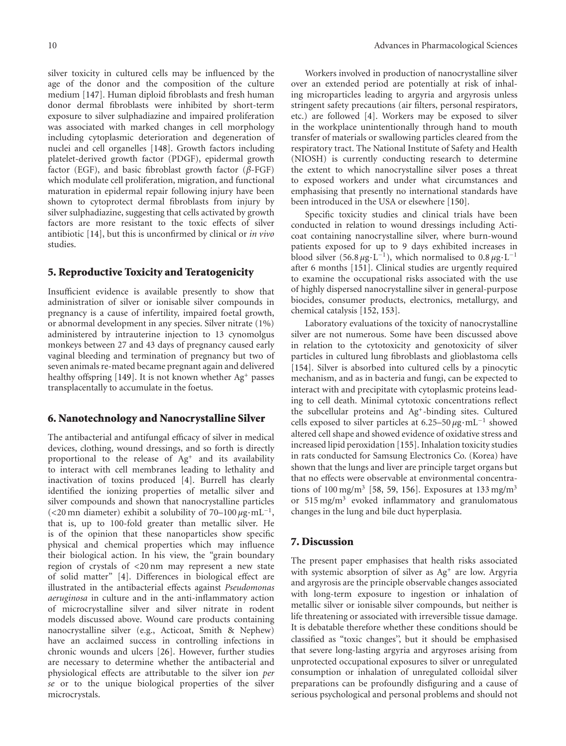silver toxicity in cultured cells may be influenced by the age of the donor and the composition of the culture medium [147]. Human diploid fibroblasts and fresh human donor dermal fibroblasts were inhibited by short-term exposure to silver sulphadiazine and impaired proliferation was associated with marked changes in cell morphology including cytoplasmic deterioration and degeneration of nuclei and cell organelles [148]. Growth factors including platelet-derived growth factor (PDGF), epidermal growth factor (EGF), and basic fibroblast growth factor (*β*-FGF) which modulate cell proliferation, migration, and functional maturation in epidermal repair following injury have been shown to cytoprotect dermal fibroblasts from injury by silver sulphadiazine, suggesting that cells activated by growth factors are more resistant to the toxic effects of silver antibiotic [14], but this is unconfirmed by clinical or *in vivo* studies.

## **5. Reproductive Toxicity and Teratogenicity**

Insufficient evidence is available presently to show that administration of silver or ionisable silver compounds in pregnancy is a cause of infertility, impaired foetal growth, or abnormal development in any species. Silver nitrate (1%) administered by intrauterine injection to 13 cynomolgus monkeys between 27 and 43 days of pregnancy caused early vaginal bleeding and termination of pregnancy but two of seven animals re-mated became pregnant again and delivered healthy offspring [149]. It is not known whether Ag<sup>+</sup> passes transplacentally to accumulate in the foetus.

#### **6. Nanotechnology and Nanocrystalline Silver**

The antibacterial and antifungal efficacy of silver in medical devices, clothing, wound dressings, and so forth is directly proportional to the release of Ag<sup>+</sup> and its availability to interact with cell membranes leading to lethality and inactivation of toxins produced [4]. Burrell has clearly identified the ionizing properties of metallic silver and silver compounds and shown that nanocrystalline particles (*<*20 mn diameter) exhibit a solubility of 70–100 *<sup>μ</sup>*g·mL−1, that is, up to 100-fold greater than metallic silver. He is of the opinion that these nanoparticles show specific physical and chemical properties which may influence their biological action. In his view, the "grain boundary region of crystals of *<*20 nm may represent a new state of solid matter" [4]. Differences in biological effect are illustrated in the antibacterial effects against *Pseudomonas aeruginosa* in culture and in the anti-inflammatory action of microcrystalline silver and silver nitrate in rodent models discussed above. Wound care products containing nanocrystalline silver (e.g., Acticoat, Smith & Nephew) have an acclaimed success in controlling infections in chronic wounds and ulcers [26]. However, further studies are necessary to determine whether the antibacterial and physiological effects are attributable to the silver ion *per se* or to the unique biological properties of the silver microcrystals.

Workers involved in production of nanocrystalline silver over an extended period are potentially at risk of inhaling microparticles leading to argyria and argyrosis unless stringent safety precautions (air filters, personal respirators, etc.) are followed [4]. Workers may be exposed to silver in the workplace unintentionally through hand to mouth transfer of materials or swallowing particles cleared from the respiratory tract. The National Institute of Safety and Health (NIOSH) is currently conducting research to determine the extent to which nanocrystalline silver poses a threat to exposed workers and under what circumstances and emphasising that presently no international standards have been introduced in the USA or elsewhere [150].

Specific toxicity studies and clinical trials have been conducted in relation to wound dressings including Acticoat containing nanocrystalline silver, where burn-wound patients exposed for up to 9 days exhibited increases in blood silver (56.8  $\mu$ g·L<sup>-1</sup>), which normalised to 0.8  $\mu$ g·L<sup>-1</sup> after 6 months [151]. Clinical studies are urgently required to examine the occupational risks associated with the use of highly dispersed nanocrystalline silver in general-purpose biocides, consumer products, electronics, metallurgy, and chemical catalysis [152, 153].

Laboratory evaluations of the toxicity of nanocrystalline silver are not numerous. Some have been discussed above in relation to the cytotoxicity and genotoxicity of silver particles in cultured lung fibroblasts and glioblastoma cells [154]. Silver is absorbed into cultured cells by a pinocytic mechanism, and as in bacteria and fungi, can be expected to interact with and precipitate with cytoplasmic proteins leading to cell death. Minimal cytotoxic concentrations reflect the subcellular proteins and Ag+-binding sites. Cultured cells exposed to silver particles at 6.25–50 *<sup>μ</sup>*g·mL−<sup>1</sup> showed altered cell shape and showed evidence of oxidative stress and increased lipid peroxidation [155]. Inhalation toxicity studies in rats conducted for Samsung Electronics Co. (Korea) have shown that the lungs and liver are principle target organs but that no effects were observable at environmental concentrations of 100 mg/m<sup>3</sup> [58, 59, 156]. Exposures at 133 mg/m<sup>3</sup> or  $515 \text{ mg/m}^3$  evoked inflammatory and granulomatous changes in the lung and bile duct hyperplasia.

### **7. Discussion**

The present paper emphasises that health risks associated with systemic absorption of silver as Ag<sup>+</sup> are low. Argyria and argyrosis are the principle observable changes associated with long-term exposure to ingestion or inhalation of metallic silver or ionisable silver compounds, but neither is life threatening or associated with irreversible tissue damage. It is debatable therefore whether these conditions should be classified as "toxic changes'', but it should be emphasised that severe long-lasting argyria and argyroses arising from unprotected occupational exposures to silver or unregulated consumption or inhalation of unregulated colloidal silver preparations can be profoundly disfiguring and a cause of serious psychological and personal problems and should not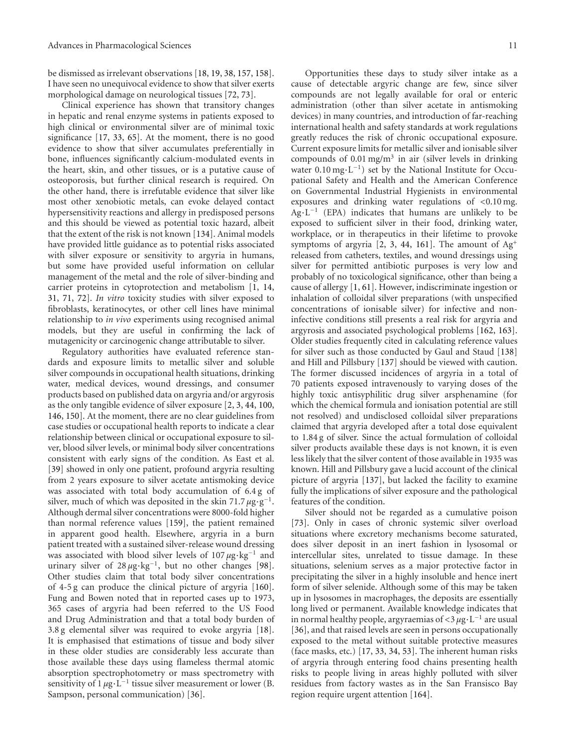be dismissed as irrelevant observations [18, 19, 38, 157, 158]. I have seen no unequivocal evidence to show that silver exerts morphological damage on neurological tissues [72, 73].

Clinical experience has shown that transitory changes in hepatic and renal enzyme systems in patients exposed to high clinical or environmental silver are of minimal toxic significance [17, 33, 65]. At the moment, there is no good evidence to show that silver accumulates preferentially in bone, influences significantly calcium-modulated events in the heart, skin, and other tissues, or is a putative cause of osteoporosis, but further clinical research is required. On the other hand, there is irrefutable evidence that silver like most other xenobiotic metals, can evoke delayed contact hypersensitivity reactions and allergy in predisposed persons and this should be viewed as potential toxic hazard, albeit that the extent of the risk is not known [134]. Animal models have provided little guidance as to potential risks associated with silver exposure or sensitivity to argyria in humans, but some have provided useful information on cellular management of the metal and the role of silver-binding and carrier proteins in cytoprotection and metabolism [1, 14, 31, 71, 72]. *In vitro* toxicity studies with silver exposed to fibroblasts, keratinocytes, or other cell lines have minimal relationship to *in vivo* experiments using recognised animal models, but they are useful in confirming the lack of mutagenicity or carcinogenic change attributable to silver.

Regulatory authorities have evaluated reference standards and exposure limits to metallic silver and soluble silver compounds in occupational health situations, drinking water, medical devices, wound dressings, and consumer products based on published data on argyria and/or argyrosis as the only tangible evidence of silver exposure [2, 3, 44, 100, 146, 150]. At the moment, there are no clear guidelines from case studies or occupational health reports to indicate a clear relationship between clinical or occupational exposure to silver, blood silver levels, or minimal body silver concentrations consistent with early signs of the condition. As East et al. [39] showed in only one patient, profound argyria resulting from 2 years exposure to silver acetate antismoking device was associated with total body accumulation of 6.4 g of silver, much of which was deposited in the skin 71.7  $\mu$ g·g<sup>-1</sup>. Although dermal silver concentrations were 8000-fold higher than normal reference values [159], the patient remained in apparent good health. Elsewhere, argyria in a burn patient treated with a sustained silver-release wound dressing was associated with blood silver levels of 107 *<sup>μ</sup>*g·kg−<sup>1</sup> and urinary silver of 28 *μ*g·kg<sup>-1</sup>, but no other changes [98]. Other studies claim that total body silver concentrations of 4-5 g can produce the clinical picture of argyria [160]. Fung and Bowen noted that in reported cases up to 1973, 365 cases of argyria had been referred to the US Food and Drug Administration and that a total body burden of 3.8 g elemental silver was required to evoke argyria [18]. It is emphasised that estimations of tissue and body silver in these older studies are considerably less accurate than those available these days using flameless thermal atomic absorption spectrophotometry or mass spectrometry with sensitivity of 1 *μ*g⋅L<sup>-1</sup> tissue silver measurement or lower (B. Sampson, personal communication) [36].

Opportunities these days to study silver intake as a cause of detectable argyric change are few, since silver compounds are not legally available for oral or enteric administration (other than silver acetate in antismoking devices) in many countries, and introduction of far-reaching international health and safety standards at work regulations greatly reduces the risk of chronic occupational exposure. Current exposure limits for metallic silver and ionisable silver compounds of  $0.01 \text{ mg/m}^3$  in air (silver levels in drinking water 0.10 mg·L−1) set by the National Institute for Occupational Safety and Health and the American Conference on Governmental Industrial Hygienists in environmental exposures and drinking water regulations of *<*0.10 mg. Ag·L−<sup>1</sup> (EPA) indicates that humans are unlikely to be exposed to sufficient silver in their food, drinking water, workplace, or in therapeutics in their lifetime to provoke symptoms of argyria  $[2, 3, 44, 161]$ . The amount of  $Ag<sup>+</sup>$ released from catheters, textiles, and wound dressings using silver for permitted antibiotic purposes is very low and probably of no toxicological significance, other than being a cause of allergy [1, 61]. However, indiscriminate ingestion or inhalation of colloidal silver preparations (with unspecified concentrations of ionisable silver) for infective and noninfective conditions still presents a real risk for argyria and argyrosis and associated psychological problems [162, 163]. Older studies frequently cited in calculating reference values for silver such as those conducted by Gaul and Staud [138] and Hill and Pillsbury [137] should be viewed with caution. The former discussed incidences of argyria in a total of 70 patients exposed intravenously to varying doses of the highly toxic antisyphilitic drug silver arsphenamine (for which the chemical formula and ionisation potential are still not resolved) and undisclosed colloidal silver preparations claimed that argyria developed after a total dose equivalent to 1.84 g of silver. Since the actual formulation of colloidal silver products available these days is not known, it is even less likely that the silver content of those available in 1935 was known. Hill and Pillsbury gave a lucid account of the clinical picture of argyria [137], but lacked the facility to examine fully the implications of silver exposure and the pathological features of the condition.

Silver should not be regarded as a cumulative poison [73]. Only in cases of chronic systemic silver overload situations where excretory mechanisms become saturated, does silver deposit in an inert fashion in lysosomal or intercellular sites, unrelated to tissue damage. In these situations, selenium serves as a major protective factor in precipitating the silver in a highly insoluble and hence inert form of silver selenide. Although some of this may be taken up in lysosomes in macrophages, the deposits are essentially long lived or permanent. Available knowledge indicates that in normal healthy people, argyraemias of *<sup>&</sup>lt;*<sup>3</sup> *<sup>μ</sup>*g·L−<sup>1</sup> are usual [36], and that raised levels are seen in persons occupationally exposed to the metal without suitable protective measures (face masks, etc.) [17, 33, 34, 53]. The inherent human risks of argyria through entering food chains presenting health risks to people living in areas highly polluted with silver residues from factory wastes as in the San Fransisco Bay region require urgent attention [164].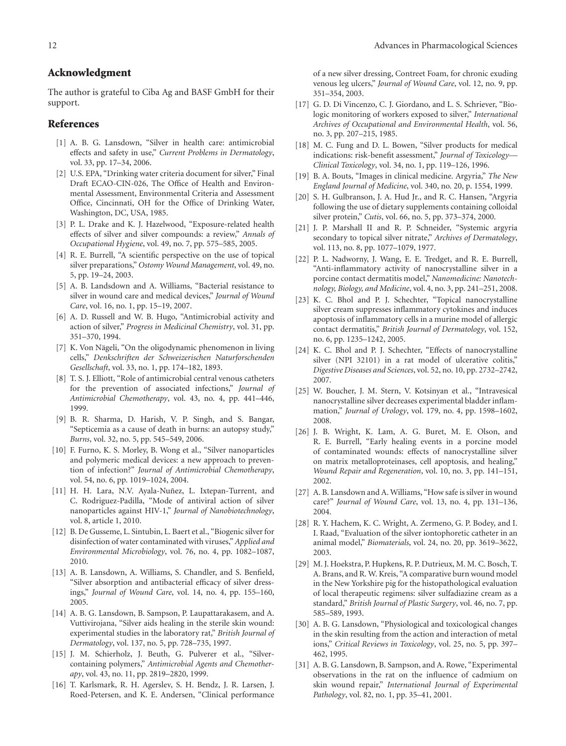### **Acknowledgment**

The author is grateful to Ciba Ag and BASF GmbH for their support.

## **References**

- [1] A. B. G. Lansdown, "Silver in health care: antimicrobial effects and safety in use," *Current Problems in Dermatology*, vol. 33, pp. 17–34, 2006.
- [2] U.S. EPA, "Drinking water criteria document for silver," Final Draft ECAO-CIN-026, The Office of Health and Environmental Assessment, Environmental Criteria and Assessment Office, Cincinnati, OH for the Office of Drinking Water, Washington, DC, USA, 1985.
- [3] P. L. Drake and K. J. Hazelwood, "Exposure-related health effects of silver and silver compounds: a review," *Annals of Occupational Hygiene*, vol. 49, no. 7, pp. 575–585, 2005.
- [4] R. E. Burrell, "A scientific perspective on the use of topical silver preparations," *Ostomy Wound Management*, vol. 49, no. 5, pp. 19–24, 2003.
- [5] A. B. Landsdown and A. Williams, "Bacterial resistance to silver in wound care and medical devices," *Journal of Wound Care*, vol. 16, no. 1, pp. 15–19, 2007.
- [6] A. D. Russell and W. B. Hugo, "Antimicrobial activity and action of silver," *Progress in Medicinal Chemistry*, vol. 31, pp. 351–370, 1994.
- [7] K. Von Nägeli, "On the oligodynamic phenomenon in living cells," *Denkschriften der Schweizerischen Naturforschenden Gesellschaft*, vol. 33, no. 1, pp. 174–182, 1893.
- [8] T. S. J. Elliott, "Role of antimicrobial central venous catheters for the prevention of associated infections," *Journal of Antimicrobial Chemotherapy*, vol. 43, no. 4, pp. 441–446, 1999.
- [9] B. R. Sharma, D. Harish, V. P. Singh, and S. Bangar, "Septicemia as a cause of death in burns: an autopsy study," *Burns*, vol. 32, no. 5, pp. 545–549, 2006.
- [10] F. Furno, K. S. Morley, B. Wong et al., "Silver nanoparticles and polymeric medical devices: a new approach to prevention of infection?" *Journal of Antimicrobial Chemotherapy*, vol. 54, no. 6, pp. 1019–1024, 2004.
- [11] H. H. Lara, N.V. Ayala-Nuñez, L. Ixtepan-Turrent, and C. Rodriguez-Padilla, "Mode of antiviral action of silver nanoparticles against HIV-1," *Journal of Nanobiotechnology*, vol. 8, article 1, 2010.
- [12] B. De Gusseme, L. Sintubin, L. Baert et al., "Biogenic silver for disinfection of water contaminated with viruses," *Applied and Environmental Microbiology*, vol. 76, no. 4, pp. 1082–1087, 2010.
- [13] A. B. Lansdown, A. Williams, S. Chandler, and S. Benfield, "Silver absorption and antibacterial efficacy of silver dressings," *Journal of Wound Care*, vol. 14, no. 4, pp. 155–160, 2005.
- [14] A. B. G. Lansdown, B. Sampson, P. Laupattarakasem, and A. Vuttivirojana, "Silver aids healing in the sterile skin wound: experimental studies in the laboratory rat," *British Journal of Dermatology*, vol. 137, no. 5, pp. 728–735, 1997.
- [15] J. M. Schierholz, J. Beuth, G. Pulverer et al., "Silvercontaining polymers," *Antimicrobial Agents and Chemotherapy*, vol. 43, no. 11, pp. 2819–2820, 1999.
- [16] T. Karlsmark, R. H. Agerslev, S. H. Bendz, J. R. Larsen, J. Roed-Petersen, and K. E. Andersen, "Clinical performance

of a new silver dressing, Contreet Foam, for chronic exuding venous leg ulcers," *Journal of Wound Care*, vol. 12, no. 9, pp. 351–354, 2003.

- [17] G. D. Di Vincenzo, C. J. Giordano, and L. S. Schriever, "Biologic monitoring of workers exposed to silver," *International Archives of Occupational and Environmental Health*, vol. 56, no. 3, pp. 207–215, 1985.
- [18] M. C. Fung and D. L. Bowen, "Silver products for medical indications: risk-benefit assessment," *Journal of Toxicology— Clinical Toxicology*, vol. 34, no. 1, pp. 119–126, 1996.
- [19] B. A. Bouts, "Images in clinical medicine. Argyria," *The New England Journal of Medicine*, vol. 340, no. 20, p. 1554, 1999.
- [20] S. H. Gulbranson, J. A. Hud Jr., and R. C. Hansen, "Argyria following the use of dietary supplements containing colloidal silver protein," *Cutis*, vol. 66, no. 5, pp. 373–374, 2000.
- [21] J. P. Marshall II and R. P. Schneider, "Systemic argyria secondary to topical silver nitrate," *Archives of Dermatology*, vol. 113, no. 8, pp. 1077–1079, 1977.
- [22] P. L. Nadworny, J. Wang, E. E. Tredget, and R. E. Burrell, "Anti-inflammatory activity of nanocrystalline silver in a porcine contact dermatitis model," *Nanomedicine: Nanotechnology, Biology, and Medicine*, vol. 4, no. 3, pp. 241–251, 2008.
- [23] K. C. Bhol and P. J. Schechter, "Topical nanocrystalline silver cream suppresses inflammatory cytokines and induces apoptosis of inflammatory cells in a murine model of allergic contact dermatitis," *British Journal of Dermatology*, vol. 152, no. 6, pp. 1235–1242, 2005.
- [24] K. C. Bhol and P. J. Schechter, "Effects of nanocrystalline silver (NPI 32101) in a rat model of ulcerative colitis," *Digestive Diseases and Sciences*, vol. 52, no. 10, pp. 2732–2742, 2007.
- [25] W. Boucher, J. M. Stern, V. Kotsinyan et al., "Intravesical nanocrystalline silver decreases experimental bladder inflammation," *Journal of Urology*, vol. 179, no. 4, pp. 1598–1602, 2008.
- [26] J. B. Wright, K. Lam, A. G. Buret, M. E. Olson, and R. E. Burrell, "Early healing events in a porcine model of contaminated wounds: effects of nanocrystalline silver on matrix metalloproteinases, cell apoptosis, and healing," *Wound Repair and Regeneration*, vol. 10, no. 3, pp. 141–151, 2002.
- [27] A. B. Lansdown and A. Williams, "How safe is silver in wound care?" *Journal of Wound Care*, vol. 13, no. 4, pp. 131–136, 2004.
- [28] R. Y. Hachem, K. C. Wright, A. Zermeno, G. P. Bodey, and I. I. Raad, "Evaluation of the silver iontophoretic catheter in an animal model," *Biomaterials*, vol. 24, no. 20, pp. 3619–3622, 2003.
- [29] M. J. Hoekstra, P. Hupkens, R. P. Dutrieux, M. M. C. Bosch, T. A. Brans, and R. W. Kreis, "A comparative burn wound model in the New Yorkshire pig for the histopathological evaluation of local therapeutic regimens: silver sulfadiazine cream as a standard," *British Journal of Plastic Surgery*, vol. 46, no. 7, pp. 585–589, 1993.
- [30] A. B. G. Lansdown, "Physiological and toxicological changes in the skin resulting from the action and interaction of metal ions," *Critical Reviews in Toxicology*, vol. 25, no. 5, pp. 397– 462, 1995.
- [31] A. B. G. Lansdown, B. Sampson, and A. Rowe, "Experimental observations in the rat on the influence of cadmium on skin wound repair," *International Journal of Experimental Pathology*, vol. 82, no. 1, pp. 35–41, 2001.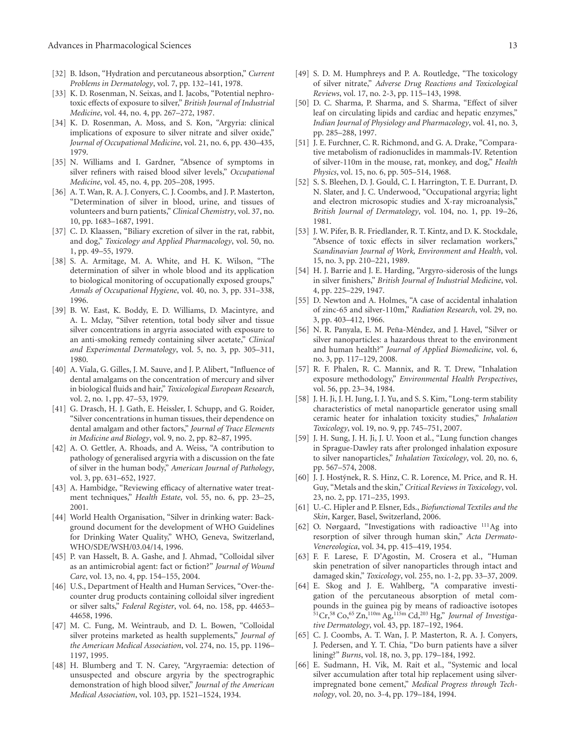- [32] B. Idson, "Hydration and percutaneous absorption," *Current Problems in Dermatology*, vol. 7, pp. 132–141, 1978.
- [33] K. D. Rosenman, N. Seixas, and I. Jacobs, "Potential nephrotoxic effects of exposure to silver," *British Journal of Industrial Medicine*, vol. 44, no. 4, pp. 267–272, 1987.
- [34] K. D. Rosenman, A. Moss, and S. Kon, "Argyria: clinical implications of exposure to silver nitrate and silver oxide," *Journal of Occupational Medicine*, vol. 21, no. 6, pp. 430–435, 1979.
- [35] N. Williams and I. Gardner, "Absence of symptoms in silver refiners with raised blood silver levels," *Occupational Medicine*, vol. 45, no. 4, pp. 205–208, 1995.
- [36] A. T. Wan, R. A. J. Conyers, C. J. Coombs, and J. P. Masterton, "Determination of silver in blood, urine, and tissues of volunteers and burn patients," *Clinical Chemistry*, vol. 37, no. 10, pp. 1683–1687, 1991.
- [37] C. D. Klaassen, "Biliary excretion of silver in the rat, rabbit, and dog," *Toxicology and Applied Pharmacology*, vol. 50, no. 1, pp. 49–55, 1979.
- [38] S. A. Armitage, M. A. White, and H. K. Wilson, "The determination of silver in whole blood and its application to biological monitoring of occupationally exposed groups," *Annals of Occupational Hygiene*, vol. 40, no. 3, pp. 331–338, 1996.
- [39] B. W. East, K. Boddy, E. D. Williams, D. Macintyre, and A. L. Mclay, "Silver retention, total body silver and tissue silver concentrations in argyria associated with exposure to an anti-smoking remedy containing silver acetate," *Clinical and Experimental Dermatology*, vol. 5, no. 3, pp. 305–311, 1980.
- [40] A. Viala, G. Gilles, J. M. Sauve, and J. P. Alibert, "Influence of dental amalgams on the concentration of mercury and silver in biological fluids and hair," *Toxicological European Research*, vol. 2, no. 1, pp. 47–53, 1979.
- [41] G. Drasch, H. J. Gath, E. Heissler, I. Schupp, and G. Roider, "Silver concentrations in human tissues, their dependence on dental amalgam and other factors," *Journal of Trace Elements in Medicine and Biology*, vol. 9, no. 2, pp. 82–87, 1995.
- [42] A. O. Gettler, A. Rhoads, and A. Weiss, "A contribution to pathology of generalised argyria with a discussion on the fate of silver in the human body," *American Journal of Pathology*, vol. 3, pp. 631–652, 1927.
- [43] A. Hambidge, "Reviewing efficacy of alternative water treatment techniques," *Health Estate*, vol. 55, no. 6, pp. 23–25, 2001.
- [44] World Health Organisation, "Silver in drinking water: Background document for the development of WHO Guidelines for Drinking Water Quality," WHO, Geneva, Switzerland, WHO/SDE/WSH/03.04/14, 1996.
- [45] P. van Hasselt, B. A. Gashe, and J. Ahmad, "Colloidal silver as an antimicrobial agent: fact or fiction?" *Journal of Wound Care*, vol. 13, no. 4, pp. 154–155, 2004.
- [46] U.S., Department of Health and Human Services, "Over-thecounter drug products containing colloidal silver ingredient or silver salts," *Federal Register*, vol. 64, no. 158, pp. 44653– 44658, 1996.
- [47] M. C. Fung, M. Weintraub, and D. L. Bowen, "Colloidal silver proteins marketed as health supplements," *Journal of the American Medical Association*, vol. 274, no. 15, pp. 1196– 1197, 1995.
- [48] H. Blumberg and T. N. Carey, "Argyraemia: detection of unsuspected and obscure argyria by the spectrographic demonstration of high blood silver," *Journal of the American Medical Association*, vol. 103, pp. 1521–1524, 1934.
- [49] S. D. M. Humphreys and P. A. Routledge, "The toxicology of silver nitrate," *Adverse Drug Reactions and Toxicological Reviews*, vol. 17, no. 2-3, pp. 115–143, 1998.
- [50] D. C. Sharma, P. Sharma, and S. Sharma, "Effect of silver leaf on circulating lipids and cardiac and hepatic enzymes," *Indian Journal of Physiology and Pharmacology*, vol. 41, no. 3, pp. 285–288, 1997.
- [51] J. E. Furchner, C. R. Richmond, and G. A. Drake, "Comparative metabolism of radionuclides in mammals-IV. Retention of silver-110m in the mouse, rat, monkey, and dog," *Health Physics*, vol. 15, no. 6, pp. 505–514, 1968.
- [52] S. S. Bleehen, D. J. Gould, C. I. Harrington, T. E. Durrant, D. N. Slater, and J. C. Underwood, "Occupational argyria; light and electron microsopic studies and X-ray microanalysis," *British Journal of Dermatology*, vol. 104, no. 1, pp. 19–26, 1981.
- [53] J. W. Pifer, B. R. Friedlander, R. T. Kintz, and D. K. Stockdale, "Absence of toxic effects in silver reclamation workers," *Scandinavian Journal of Work, Environment and Health*, vol. 15, no. 3, pp. 210–221, 1989.
- [54] H. J. Barrie and J. E. Harding, "Argyro-siderosis of the lungs in silver finishers," *British Journal of Industrial Medicine*, vol. 4, pp. 225–229, 1947.
- [55] D. Newton and A. Holmes, "A case of accidental inhalation of zinc-65 and silver-110m," *Radiation Research*, vol. 29, no. 3, pp. 403–412, 1966.
- [56] N. R. Panyala, E. M. Peña-Méndez, and J. Havel, "Silver or silver nanoparticles: a hazardous threat to the environment and human health?" *Journal of Applied Biomedicine*, vol. 6, no. 3, pp. 117–129, 2008.
- [57] R. F. Phalen, R. C. Mannix, and R. T. Drew, "Inhalation exposure methodology," *Environmental Health Perspectives*, vol. 56, pp. 23–34, 1984.
- [58] J. H. Ji, J. H. Jung, I. J. Yu, and S. S. Kim, "Long-term stability characteristics of metal nanoparticle generator using small ceramic heater for inhalation toxicity studies," *Inhalation Toxicology*, vol. 19, no. 9, pp. 745–751, 2007.
- [59] J. H. Sung, J. H. Ji, J. U. Yoon et al., "Lung function changes in Sprague-Dawley rats after prolonged inhalation exposure to silver nanoparticles," *Inhalation Toxicology*, vol. 20, no. 6, pp. 567–574, 2008.
- [60] J. J. Hostynek, R. S. Hinz, C. R. Lorence, M. Price, and R. H. ´ Guy, "Metals and the skin," *Critical Reviews in Toxicology*, vol. 23, no. 2, pp. 171–235, 1993.
- [61] U.-C. Hipler and P. Elsner, Eds., *Biofunctional Textiles and the Skin*, Karger, Basel, Switzerland, 2006.
- [62] O. Nørgaard, "Investigations with radioactive <sup>111</sup>Ag into resorption of silver through human skin," *Acta Dermato-Venereologica*, vol. 34, pp. 415–419, 1954.
- [63] F. F. Larese, F. D'Agostin, M. Crosera et al., "Human skin penetration of silver nanoparticles through intact and damaged skin," *Toxicology*, vol. 255, no. 1-2, pp. 33–37, 2009.
- [64] E. Skog and J. E. Wahlberg, "A comparative investigation of the percutaneous absorption of metal compounds in the guinea pig by means of radioactive isotopes 51Cr,58 Co,65 Zn,110m Ag,115m Cd,203 Hg," *Journal of Investigative Dermatology*, vol. 43, pp. 187–192, 1964.
- [65] C. J. Coombs, A. T. Wan, J. P. Masterton, R. A. J. Conyers, J. Pedersen, and Y. T. Chia, "Do burn patients have a silver lining?" *Burns*, vol. 18, no. 3, pp. 179–184, 1992.
- [66] E. Sudmann, H. Vik, M. Rait et al., "Systemic and local silver accumulation after total hip replacement using silverimpregnated bone cement," *Medical Progress through Technology*, vol. 20, no. 3-4, pp. 179–184, 1994.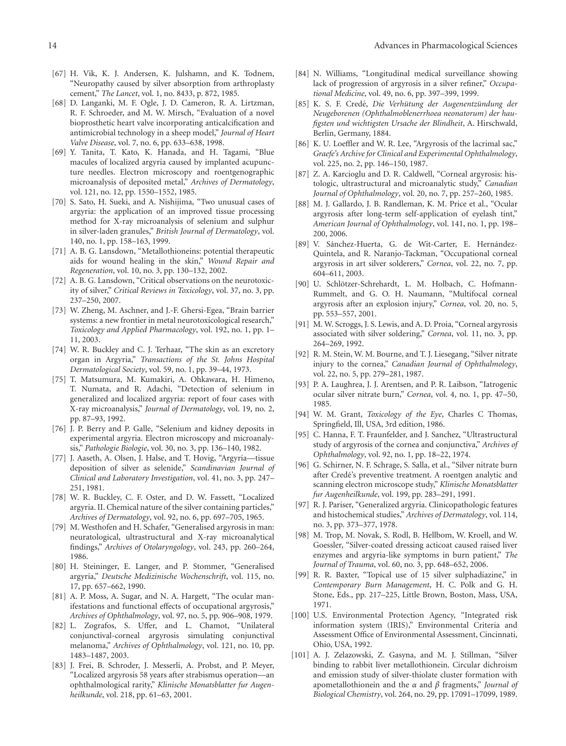- [68] D. Langanki, M. F. Ogle, J. D. Cameron, R. A. Lirtzman, R. F. Schroeder, and M. W. Mirsch, "Evaluation of a novel bioprosthetic heart valve incorporating anticalcification and antimicrobial technology in a sheep model," *Journal of Heart Valve Disease*, vol. 7, no. 6, pp. 633–638, 1998.
- [69] Y. Tanita, T. Kato, K. Hanada, and H. Tagami, "Blue macules of localized argyria caused by implanted acupuncture needles. Electron microscopy and roentgenographic microanalysis of deposited metal," *Archives of Dermatology*, vol. 121, no. 12, pp. 1550–1552, 1985.
- [70] S. Sato, H. Sueki, and A. Nishijima, "Two unusual cases of argyria: the application of an improved tissue processing method for X-ray microanalysis of selenium and sulphur in silver-laden granules," *British Journal of Dermatology*, vol. 140, no. 1, pp. 158–163, 1999.
- [71] A. B. G. Lansdown, "Metallothioneins: potential therapeutic aids for wound healing in the skin," *Wound Repair and Regeneration*, vol. 10, no. 3, pp. 130–132, 2002.
- [72] A. B. G. Lansdown, "Critical observations on the neurotoxicity of silver," *Critical Reviews in Toxicology*, vol. 37, no. 3, pp. 237–250, 2007.
- [73] W. Zheng, M. Aschner, and J.-F. Ghersi-Egea, "Brain barrier systems: a new frontier in metal neurotoxicological research," *Toxicology and Applied Pharmacology*, vol. 192, no. 1, pp. 1– 11, 2003.
- [74] W. R. Buckley and C. J. Terhaar, "The skin as an excretory organ in Argyria," *Transactions of the St. Johns Hospital Dermatological Society*, vol. 59, no. 1, pp. 39–44, 1973.
- [75] T. Matsumura, M. Kumakiri, A. Ohkawara, H. Himeno, T. Numata, and R. Adachi, "Detection of selenium in generalized and localized argyria: report of four cases with X-ray microanalysis," *Journal of Dermatology*, vol. 19, no. 2, pp. 87–93, 1992.
- [76] J. P. Berry and P. Galle, "Selenium and kidney deposits in experimental argyria. Electron microscopy and microanalysis," *Pathologie Biologie*, vol. 30, no. 3, pp. 136–140, 1982.
- [77] J. Aaseth, A. Olsen, J. Halse, and T. Hovig, "Argyria—tissue deposition of silver as selenide," *Scandinavian Journal of Clinical and Laboratory Investigation*, vol. 41, no. 3, pp. 247– 251, 1981.
- [78] W. R. Buckley, C. F. Oster, and D. W. Fassett, "Localized argyria. II. Chemical nature of the silver containing particles," *Archives of Dermatology*, vol. 92, no. 6, pp. 697–705, 1965.
- [79] M. Westhofen and H. Schafer, "Generalised argyrosis in man: neuratological, ultrastructural and X-ray microanalytical findings," *Archives of Otolaryngology*, vol. 243, pp. 260–264, 1986.
- [80] H. Steininger, E. Langer, and P. Stommer, "Generalised argyria," *Deutsche Medizinische Wochenschrift*, vol. 115, no. 17, pp. 657–662, 1990.
- [81] A. P. Moss, A. Sugar, and N. A. Hargett, "The ocular manifestations and functional effects of occupational argyrosis," *Archives of Ophthalmology*, vol. 97, no. 5, pp. 906–908, 1979.
- [82] L. Zografos, S. Uffer, and L. Chamot, "Unilateral conjunctival-corneal argyrosis simulating conjunctival melanoma," *Archives of Ophthalmology*, vol. 121, no. 10, pp. 1483–1487, 2003.
- [83] J. Frei, B. Schroder, J. Messerli, A. Probst, and P. Meyer, "Localized argyrosis 58 years after strabismus operation—an ophthalmological rarity," *Klinische Monatsblatter fur Augenheilkunde*, vol. 218, pp. 61–63, 2001.
- [84] N. Williams, "Longitudinal medical surveillance showing lack of progression of argyrosis in a silver refiner," *Occupational Medicine*, vol. 49, no. 6, pp. 397–399, 1999.
- [85] K. S. F. Credé, *Die Verhütung der Augenentzündung der Neugeborenen (Ophthalmoblenerrhoea neonatorum) der haufigsten und wichtigsten Ursache der Blindheit*, A. Hirschwald, Berlin, Germany, 1884.
- [86] K. U. Loeffler and W. R. Lee, "Argyrosis of the lacrimal sac," *Graefe's Archive for Clinical and Experimental Ophthalmology*, vol. 225, no. 2, pp. 146–150, 1987.
- [87] Z. A. Karcioglu and D. R. Caldwell, "Corneal argyrosis: histologic, ultrastructural and microanalytic study," *Canadian Journal of Ophthalmology*, vol. 20, no. 7, pp. 257–260, 1985.
- [88] M. J. Gallardo, J. B. Randleman, K. M. Price et al., "Ocular argyrosis after long-term self-application of eyelash tint," *American Journal of Ophthalmology*, vol. 141, no. 1, pp. 198– 200, 2006.
- [89] V. Sánchez-Huerta, G. de Wit-Carter, E. Hernández-Quintela, and R. Naranjo-Tackman, "Occupational corneal argyrosis in art silver solderers," *Cornea*, vol. 22, no. 7, pp. 604–611, 2003.
- [90] U. Schlötzer-Schrehardt, L. M. Holbach, C. Hofmann-Rummelt, and G. O. H. Naumann, "Multifocal corneal argyrosis after an explosion injury," *Cornea*, vol. 20, no. 5, pp. 553–557, 2001.
- [91] M. W. Scroggs, J. S. Lewis, and A. D. Proia, "Corneal argyrosis associated with silver soldering," *Cornea*, vol. 11, no. 3, pp. 264–269, 1992.
- [92] R. M. Stein, W. M. Bourne, and T. J. Liesegang, "Silver nitrate injury to the cornea," *Canadian Journal of Ophthalmology*, vol. 22, no. 5, pp. 279–281, 1987.
- [93] P. A. Laughrea, J. J. Arentsen, and P. R. Laibson, "Iatrogenic ocular silver nitrate burn," *Cornea*, vol. 4, no. 1, pp. 47–50, 1985.
- [94] W. M. Grant, *Toxicology of the Eye*, Charles C Thomas, Springfield, Ill, USA, 3rd edition, 1986.
- [95] C. Hanna, F. T. Fraunfelder, and J. Sanchez, "Ultrastructural study of argyrosis of the cornea and conjunctiva," *Archives of Ophthalmology*, vol. 92, no. 1, pp. 18–22, 1974.
- [96] G. Schirner, N. F. Schrage, S. Salla, et al., "Silver nitrate burn after Credé's preventive treatment. A roentgen analytic and scanning electron microscope study," *Klinische Monatsblatter fur Augenheilkunde*, vol. 199, pp. 283–291, 1991.
- [97] R. J. Pariser, "Generalized argyria. Clinicopathologic features and histochemical studies," *Archives of Dermatology*, vol. 114, no. 3, pp. 373–377, 1978.
- [98] M. Trop, M. Novak, S. Rodl, B. Hellbom, W. Kroell, and W. Goessler, "Silver-coated dressing acticoat caused raised liver enzymes and argyria-like symptoms in burn patient," *The Journal of Trauma*, vol. 60, no. 3, pp. 648–652, 2006.
- [99] R. R. Baxter, "Topical use of 15 silver sulphadiazine," in *Contemporary Burn Management*, H. C. Polk and G. H. Stone, Eds., pp. 217–225, Little Brown, Boston, Mass, USA, 1971.
- [100] U.S. Environmental Protection Agency, "Integrated risk information system (IRIS)," Environmental Criteria and Assessment Office of Environmental Assessment, Cincinnati, Ohio, USA, 1992.
- [101] A. J. Zelazowski, Z. Gasyna, and M. J. Stillman, "Silver binding to rabbit liver metallothionein. Circular dichroism and emission study of silver-thiolate cluster formation with apometallothionein and the *α* and *β* fragments," *Journal of Biological Chemistry*, vol. 264, no. 29, pp. 17091–17099, 1989.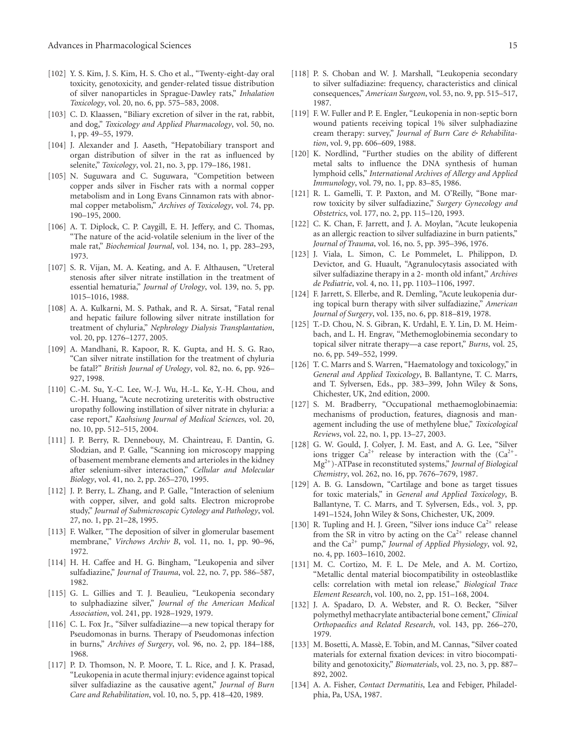- [102] Y. S. Kim, J. S. Kim, H. S. Cho et al., "Twenty-eight-day oral toxicity, genotoxicity, and gender-related tissue distribution of silver nanoparticles in Sprague-Dawley rats," *Inhalation Toxicology*, vol. 20, no. 6, pp. 575–583, 2008.
- [103] C. D. Klaassen, "Biliary excretion of silver in the rat, rabbit, and dog," *Toxicology and Applied Pharmacology*, vol. 50, no. 1, pp. 49–55, 1979.
- [104] J. Alexander and J. Aaseth, "Hepatobiliary transport and organ distribution of silver in the rat as influenced by selenite," *Toxicology*, vol. 21, no. 3, pp. 179–186, 1981.
- [105] N. Suguwara and C. Suguwara, "Competition between copper ands silver in Fischer rats with a normal copper metabolism and in Long Evans Cinnamon rats with abnormal copper metabolism," *Archives of Toxicology*, vol. 74, pp. 190–195, 2000.
- [106] A. T. Diplock, C. P. Caygill, E. H. Jeffery, and C. Thomas, "The nature of the acid-volatile selenium in the liver of the male rat," *Biochemical Journal*, vol. 134, no. 1, pp. 283–293, 1973.
- [107] S. R. Vijan, M. A. Keating, and A. F. Althausen, "Ureteral stenosis after silver nitrate instillation in the treatment of essential hematuria," *Journal of Urology*, vol. 139, no. 5, pp. 1015–1016, 1988.
- [108] A. A. Kulkarni, M. S. Pathak, and R. A. Sirsat, "Fatal renal and hepatic failure following silver nitrate instillation for treatment of chyluria," *Nephrology Dialysis Transplantation*, vol. 20, pp. 1276–1277, 2005.
- [109] A. Mandhani, R. Kapoor, R. K. Gupta, and H. S. G. Rao, "Can silver nitrate instillation for the treatment of chyluria be fatal?" *British Journal of Urology*, vol. 82, no. 6, pp. 926– 927, 1998.
- [110] C.-M. Su, Y.-C. Lee, W.-J. Wu, H.-L. Ke, Y.-H. Chou, and C.-H. Huang, "Acute necrotizing ureteritis with obstructive uropathy following instillation of silver nitrate in chyluria: a case report," *Kaohsiung Journal of Medical Sciences*, vol. 20, no. 10, pp. 512–515, 2004.
- [111] J. P. Berry, R. Dennebouy, M. Chaintreau, F. Dantin, G. Slodzian, and P. Galle, "Scanning ion microscopy mapping of basement membrane elements and arterioles in the kidney after selenium-silver interaction," *Cellular and Molecular Biology*, vol. 41, no. 2, pp. 265–270, 1995.
- [112] J. P. Berry, L. Zhang, and P. Galle, "Interaction of selenium with copper, silver, and gold salts. Electron microprobe study," *Journal of Submicroscopic Cytology and Pathology*, vol. 27, no. 1, pp. 21–28, 1995.
- [113] F. Walker, "The deposition of silver in glomerular basement membrane," *Virchows Archiv B*, vol. 11, no. 1, pp. 90–96, 1972.
- [114] H. H. Caffee and H. G. Bingham, "Leukopenia and silver sulfadiazine," *Journal of Trauma*, vol. 22, no. 7, pp. 586–587, 1982.
- [115] G. L. Gillies and T. J. Beaulieu, "Leukopenia secondary to sulphadiazine silver," *Journal of the American Medical Association*, vol. 241, pp. 1928–1929, 1979.
- [116] C. L. Fox Jr., "Silver sulfadiazine—a new topical therapy for Pseudomonas in burns. Therapy of Pseudomonas infection in burns," *Archives of Surgery*, vol. 96, no. 2, pp. 184–188, 1968.
- [117] P. D. Thomson, N. P. Moore, T. L. Rice, and J. K. Prasad, "Leukopenia in acute thermal injury: evidence against topical silver sulfadiazine as the causative agent," *Journal of Burn Care and Rehabilitation*, vol. 10, no. 5, pp. 418–420, 1989.
- [118] P. S. Choban and W. J. Marshall, "Leukopenia secondary to silver sulfadiazine: frequency, characteristics and clinical consequences," *American Surgeon*, vol. 53, no. 9, pp. 515–517, 1987.
- [119] F. W. Fuller and P. E. Engler, "Leukopenia in non-septic born wound patients receiving topical 1% silver sulphadiazine cream therapy: survey," *Journal of Burn Care & Rehabilitation*, vol. 9, pp. 606–609, 1988.
- [120] K. Nordlind, "Further studies on the ability of different metal salts to influence the DNA synthesis of human lymphoid cells," *International Archives of Allergy and Applied Immunology*, vol. 79, no. 1, pp. 83–85, 1986.
- [121] R. L. Gamelli, T. P. Paxton, and M. O'Reilly, "Bone marrow toxicity by silver sulfadiazine," *Surgery Gynecology and Obstetrics*, vol. 177, no. 2, pp. 115–120, 1993.
- [122] C. K. Chan, F. Jarrett, and J. A. Moylan, "Acute leukopenia as an allergic reaction to silver sulfadiazine in burn patients," *Journal of Trauma*, vol. 16, no. 5, pp. 395–396, 1976.
- [123] J. Viala, L. Simon, C. Le Pommelet, L. Philippon, D. Devictor, and G. Huault, "Agranulocytasis associated with silver sulfadiazine therapy in a 2- month old infant," *Archives de Pediatrie*, vol. 4, no. 11, pp. 1103–1106, 1997.
- [124] F. Jarrett, S. Ellerbe, and R. Demling, "Acute leukopenia during topical burn therapy with silver sulfadiazine," *American Journal of Surgery*, vol. 135, no. 6, pp. 818–819, 1978.
- [125] T.-D. Chou, N. S. Gibran, K. Urdahl, E. Y. Lin, D. M. Heimbach, and L. H. Engrav, "Methemoglobinemia secondary to topical silver nitrate therapy—a case report," *Burns*, vol. 25, no. 6, pp. 549–552, 1999.
- [126] T. C. Marrs and S. Warren, "Haematology and toxicology," in *General and Applied Toxicology*, B. Ballantyne, T. C. Marrs, and T. Sylversen, Eds., pp. 383–399, John Wiley & Sons, Chichester, UK, 2nd edition, 2000.
- [127] S. M. Bradberry, "Occupational methaemoglobinaemia: mechanisms of production, features, diagnosis and management including the use of methylene blue," *Toxicological Reviews*, vol. 22, no. 1, pp. 13–27, 2003.
- [128] G. W. Gould, J. Colyer, J. M. East, and A. G. Lee, "Silver ions trigger  $Ca^{2+}$  release by interaction with the  $Ca^{2+}$ -Mg2+)-ATPase in reconstituted systems," *Journal of Biological Chemistry*, vol. 262, no. 16, pp. 7676–7679, 1987.
- [129] A. B. G. Lansdown, "Cartilage and bone as target tissues for toxic materials," in *General and Applied Toxicology*, B. Ballantyne, T. C. Marrs, and T. Sylversen, Eds., vol. 3, pp. 1491–1524, John Wiley & Sons, Chichester, UK, 2009.
- [130] R. Tupling and H. J. Green, "Silver ions induce  $Ca^{2+}$  release from the SR in vitro by acting on the  $Ca^{2+}$  release channel and the Ca<sup>2+</sup> pump," *Journal of Applied Physiology*, vol. 92, no. 4, pp. 1603–1610, 2002.
- [131] M. C. Cortizo, M. F. L. De Mele, and A. M. Cortizo, "Metallic dental material biocompatibility in osteoblastlike cells: correlation with metal ion release," *Biological Trace Element Research*, vol. 100, no. 2, pp. 151–168, 2004.
- [132] J. A. Spadaro, D. A. Webster, and R. O. Becker, "Silver polymethyl methacrylate antibacterial bone cement," *Clinical Orthopaedics and Related Research*, vol. 143, pp. 266–270, 1979.
- [133] M. Bosetti, A. Massè, E. Tobin, and M. Cannas, "Silver coated materials for external fixation devices: in vitro biocompatibility and genotoxicity," *Biomaterials*, vol. 23, no. 3, pp. 887– 892, 2002.
- [134] A. A. Fisher, *Contact Dermatitis*, Lea and Febiger, Philadelphia, Pa, USA, 1987.